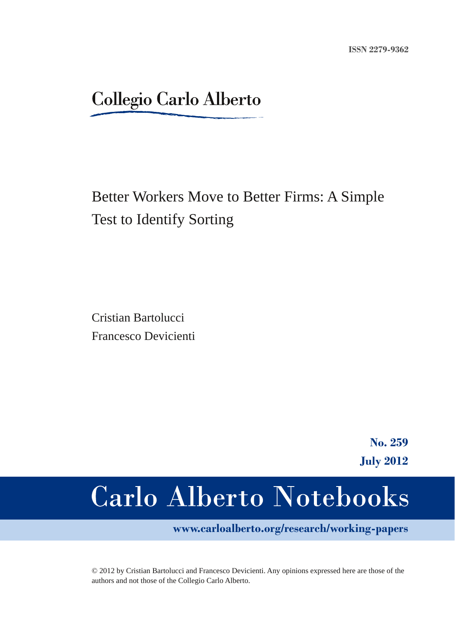# **Collegio Carlo Alberto**

# Better Workers Move to Better Firms: A Simple Test to Identify Sorting

Cristian Bartolucci Francesco Devicienti

> **No. 259 July 2012**

# **Carlo Alberto Notebooks**

**www.carloalberto.org/research/working-papers**

© 2012 by Cristian Bartolucci and Francesco Devicienti. Any opinions expressed here are those of the authors and not those of the Collegio Carlo Alberto.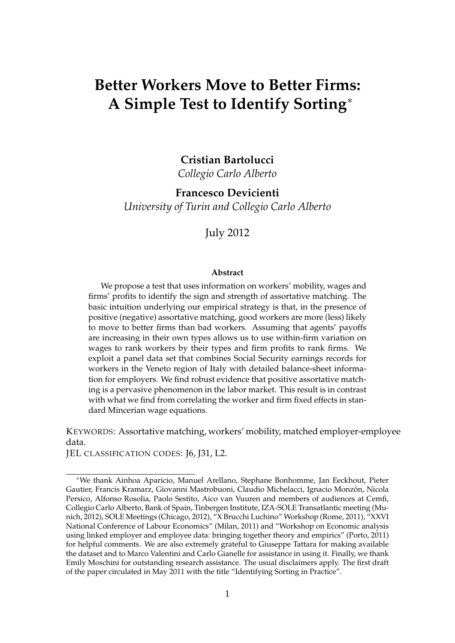# **Better Workers Move to Better Firms: A Simple Test to Identify Sorting**<sup>∗</sup>

**Cristian Bartolucci**

*Collegio Carlo Alberto*

**Francesco Devicienti** *University of Turin and Collegio Carlo Alberto*

July 2012

#### **Abstract**

We propose a test that uses information on workers' mobility, wages and firms' profits to identify the sign and strength of assortative matching. The basic intuition underlying our empirical strategy is that, in the presence of positive (negative) assortative matching, good workers are more (less) likely to move to better firms than bad workers. Assuming that agents' payoffs are increasing in their own types allows us to use within-firm variation on wages to rank workers by their types and firm profits to rank firms. We exploit a panel data set that combines Social Security earnings records for workers in the Veneto region of Italy with detailed balance-sheet information for employers. We find robust evidence that positive assortative matching is a pervasive phenomenon in the labor market. This result is in contrast with what we find from correlating the worker and firm fixed effects in standard Mincerian wage equations.

KEYWORDS: Assortative matching, workers' mobility, matched employer-employee data.

JEL CLASSIFICATION CODES: J6, J31, L2.

<sup>∗</sup>We thank Ainhoa Aparicio, Manuel Arellano, Stephane Bonhomme, Jan Eeckhout, Pieter Gautier, Francis Kramarz, Giovanni Mastrobuoni, Claudio Michelacci, Ignacio Monzón, Nicola Persico, Alfonso Rosolia, Paolo Sestito, Aico van Vuuren and members of audiences at Cemfi, Collegio Carlo Alberto, Bank of Spain, Tinbergen Institute, IZA-SOLE Transatlantic meeting (Munich, 2012), SOLE Meetings (Chicago, 2012), "X Brucchi Luchino" Workshop (Rome, 2011), "XXVI National Conference of Labour Economics" (Milan, 2011) and "Workshop on Economic analysis using linked employer and employee data: bringing together theory and empirics" (Porto, 2011) for helpful comments. We are also extremely grateful to Giuseppe Tattara for making available the dataset and to Marco Valentini and Carlo Gianelle for assistance in using it. Finally, we thank Emily Moschini for outstanding research assistance. The usual disclaimers apply. The first draft of the paper circulated in May 2011 with the title "Identifying Sorting in Practice".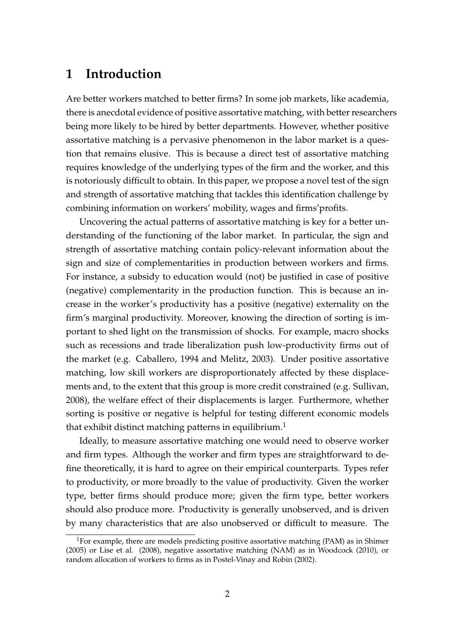# **1 Introduction**

Are better workers matched to better firms? In some job markets, like academia, there is anecdotal evidence of positive assortative matching, with better researchers being more likely to be hired by better departments. However, whether positive assortative matching is a pervasive phenomenon in the labor market is a question that remains elusive. This is because a direct test of assortative matching requires knowledge of the underlying types of the firm and the worker, and this is notoriously difficult to obtain. In this paper, we propose a novel test of the sign and strength of assortative matching that tackles this identification challenge by combining information on workers' mobility, wages and firms'profits.

Uncovering the actual patterns of assortative matching is key for a better understanding of the functioning of the labor market. In particular, the sign and strength of assortative matching contain policy-relevant information about the sign and size of complementarities in production between workers and firms. For instance, a subsidy to education would (not) be justified in case of positive (negative) complementarity in the production function. This is because an increase in the worker's productivity has a positive (negative) externality on the firm's marginal productivity. Moreover, knowing the direction of sorting is important to shed light on the transmission of shocks. For example, macro shocks such as recessions and trade liberalization push low-productivity firms out of the market (e.g. Caballero, 1994 and Melitz, 2003). Under positive assortative matching, low skill workers are disproportionately affected by these displacements and, to the extent that this group is more credit constrained (e.g. Sullivan, 2008), the welfare effect of their displacements is larger. Furthermore, whether sorting is positive or negative is helpful for testing different economic models that exhibit distinct matching patterns in equilibrium.<sup>1</sup>

Ideally, to measure assortative matching one would need to observe worker and firm types. Although the worker and firm types are straightforward to define theoretically, it is hard to agree on their empirical counterparts. Types refer to productivity, or more broadly to the value of productivity. Given the worker type, better firms should produce more; given the firm type, better workers should also produce more. Productivity is generally unobserved, and is driven by many characteristics that are also unobserved or difficult to measure. The

<sup>&</sup>lt;sup>1</sup>For example, there are models predicting positive assortative matching (PAM) as in Shimer (2005) or Lise et al. (2008), negative assortative matching (NAM) as in Woodcock (2010), or random allocation of workers to firms as in Postel-Vinay and Robin (2002).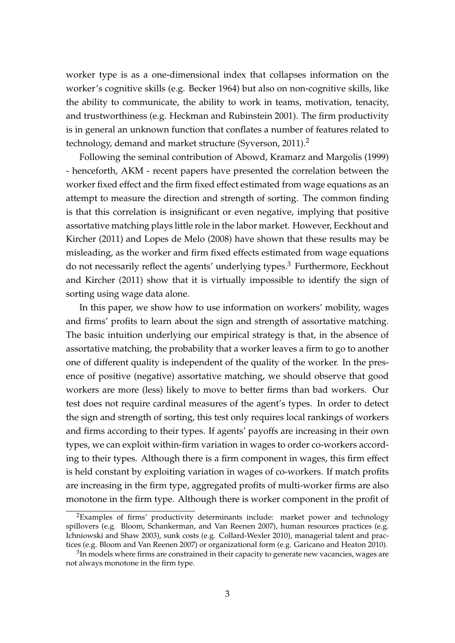worker type is as a one-dimensional index that collapses information on the worker's cognitive skills (e.g. Becker 1964) but also on non-cognitive skills, like the ability to communicate, the ability to work in teams, motivation, tenacity, and trustworthiness (e.g. Heckman and Rubinstein 2001). The firm productivity is in general an unknown function that conflates a number of features related to technology, demand and market structure (Syverson, 2011).<sup>2</sup>

Following the seminal contribution of Abowd, Kramarz and Margolis (1999) - henceforth, AKM - recent papers have presented the correlation between the worker fixed effect and the firm fixed effect estimated from wage equations as an attempt to measure the direction and strength of sorting. The common finding is that this correlation is insignificant or even negative, implying that positive assortative matching plays little role in the labor market. However, Eeckhout and Kircher (2011) and Lopes de Melo (2008) have shown that these results may be misleading, as the worker and firm fixed effects estimated from wage equations do not necessarily reflect the agents' underlying types.<sup>3</sup> Furthermore, Eeckhout and Kircher (2011) show that it is virtually impossible to identify the sign of sorting using wage data alone.

In this paper, we show how to use information on workers' mobility, wages and firms' profits to learn about the sign and strength of assortative matching. The basic intuition underlying our empirical strategy is that, in the absence of assortative matching, the probability that a worker leaves a firm to go to another one of different quality is independent of the quality of the worker. In the presence of positive (negative) assortative matching, we should observe that good workers are more (less) likely to move to better firms than bad workers. Our test does not require cardinal measures of the agent's types. In order to detect the sign and strength of sorting, this test only requires local rankings of workers and firms according to their types. If agents' payoffs are increasing in their own types, we can exploit within-firm variation in wages to order co-workers according to their types. Although there is a firm component in wages, this firm effect is held constant by exploiting variation in wages of co-workers. If match profits are increasing in the firm type, aggregated profits of multi-worker firms are also monotone in the firm type. Although there is worker component in the profit of

<sup>&</sup>lt;sup>2</sup>Examples of firms' productivity determinants include: market power and technology spillovers (e.g. Bloom, Schankerman, and Van Reenen 2007), human resources practices (e.g. Ichniowski and Shaw 2003), sunk costs (e.g. Collard-Wexler 2010), managerial talent and practices (e.g. Bloom and Van Reenen 2007) or organizational form (e.g. Garicano and Heaton 2010).

 $^3$ In models where firms are constrained in their capacity to generate new vacancies, wages are not always monotone in the firm type.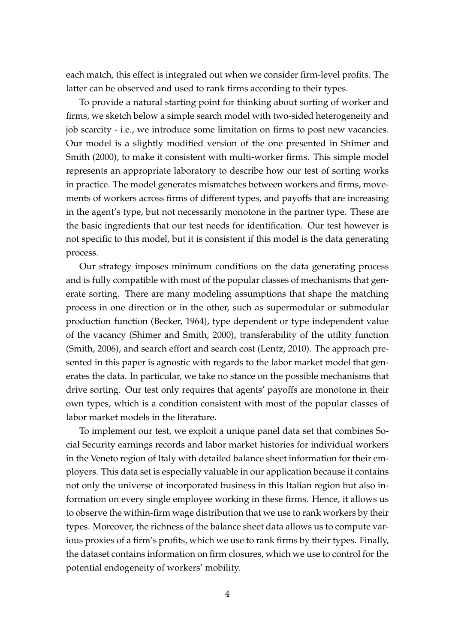each match, this effect is integrated out when we consider firm-level profits. The latter can be observed and used to rank firms according to their types.

To provide a natural starting point for thinking about sorting of worker and firms, we sketch below a simple search model with two-sided heterogeneity and job scarcity - i.e., we introduce some limitation on firms to post new vacancies. Our model is a slightly modified version of the one presented in Shimer and Smith (2000), to make it consistent with multi-worker firms. This simple model represents an appropriate laboratory to describe how our test of sorting works in practice. The model generates mismatches between workers and firms, movements of workers across firms of different types, and payoffs that are increasing in the agent's type, but not necessarily monotone in the partner type. These are the basic ingredients that our test needs for identification. Our test however is not specific to this model, but it is consistent if this model is the data generating process.

Our strategy imposes minimum conditions on the data generating process and is fully compatible with most of the popular classes of mechanisms that generate sorting. There are many modeling assumptions that shape the matching process in one direction or in the other, such as supermodular or submodular production function (Becker, 1964), type dependent or type independent value of the vacancy (Shimer and Smith, 2000), transferability of the utility function (Smith, 2006), and search effort and search cost (Lentz, 2010). The approach presented in this paper is agnostic with regards to the labor market model that generates the data. In particular, we take no stance on the possible mechanisms that drive sorting. Our test only requires that agents' payoffs are monotone in their own types, which is a condition consistent with most of the popular classes of labor market models in the literature.

To implement our test, we exploit a unique panel data set that combines Social Security earnings records and labor market histories for individual workers in the Veneto region of Italy with detailed balance sheet information for their employers. This data set is especially valuable in our application because it contains not only the universe of incorporated business in this Italian region but also information on every single employee working in these firms. Hence, it allows us to observe the within-firm wage distribution that we use to rank workers by their types. Moreover, the richness of the balance sheet data allows us to compute various proxies of a firm's profits, which we use to rank firms by their types. Finally, the dataset contains information on firm closures, which we use to control for the potential endogeneity of workers' mobility.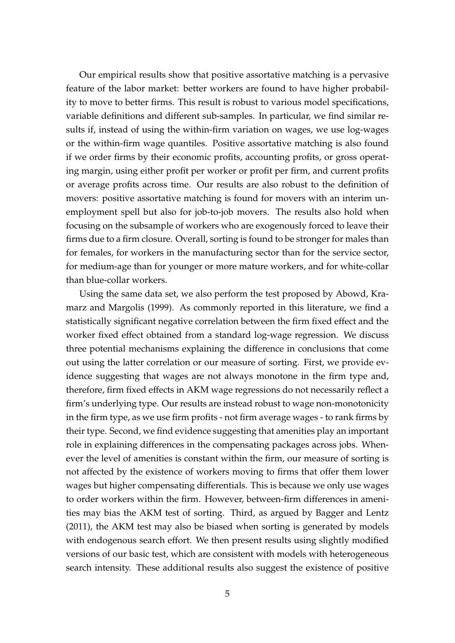Our empirical results show that positive assortative matching is a pervasive feature of the labor market: better workers are found to have higher probability to move to better firms. This result is robust to various model specifications, variable definitions and different sub-samples. In particular, we find similar results if, instead of using the within-firm variation on wages, we use log-wages or the within-firm wage quantiles. Positive assortative matching is also found if we order firms by their economic profits, accounting profits, or gross operating margin, using either profit per worker or profit per firm, and current profits or average profits across time. Our results are also robust to the definition of movers: positive assortative matching is found for movers with an interim unemployment spell but also for job-to-job movers. The results also hold when focusing on the subsample of workers who are exogenously forced to leave their firms due to a firm closure. Overall, sorting is found to be stronger for males than for females, for workers in the manufacturing sector than for the service sector, for medium-age than for younger or more mature workers, and for white-collar than blue-collar workers.

Using the same data set, we also perform the test proposed by Abowd, Kramarz and Margolis (1999). As commonly reported in this literature, we find a statistically significant negative correlation between the firm fixed effect and the worker fixed effect obtained from a standard log-wage regression. We discuss three potential mechanisms explaining the difference in conclusions that come out using the latter correlation or our measure of sorting. First, we provide evidence suggesting that wages are not always monotone in the firm type and, therefore, firm fixed effects in AKM wage regressions do not necessarily reflect a firm's underlying type. Our results are instead robust to wage non-monotonicity in the firm type, as we use firm profits - not firm average wages - to rank firms by their type. Second, we find evidence suggesting that amenities play an important role in explaining differences in the compensating packages across jobs. Whenever the level of amenities is constant within the firm, our measure of sorting is not affected by the existence of workers moving to firms that offer them lower wages but higher compensating differentials. This is because we only use wages to order workers within the firm. However, between-firm differences in amenities may bias the AKM test of sorting. Third, as argued by Bagger and Lentz (2011), the AKM test may also be biased when sorting is generated by models with endogenous search effort. We then present results using slightly modified versions of our basic test, which are consistent with models with heterogeneous search intensity. These additional results also suggest the existence of positive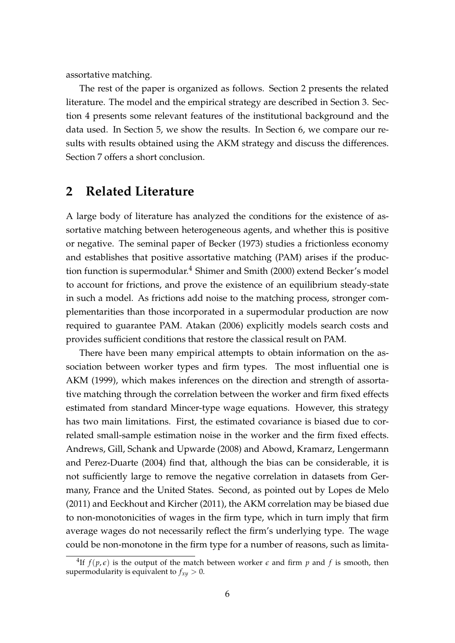assortative matching.

The rest of the paper is organized as follows. Section 2 presents the related literature. The model and the empirical strategy are described in Section 3. Section 4 presents some relevant features of the institutional background and the data used. In Section 5, we show the results. In Section 6, we compare our results with results obtained using the AKM strategy and discuss the differences. Section 7 offers a short conclusion.

# **2 Related Literature**

A large body of literature has analyzed the conditions for the existence of assortative matching between heterogeneous agents, and whether this is positive or negative. The seminal paper of Becker (1973) studies a frictionless economy and establishes that positive assortative matching (PAM) arises if the production function is supermodular.<sup>4</sup> Shimer and Smith (2000) extend Becker's model to account for frictions, and prove the existence of an equilibrium steady-state in such a model. As frictions add noise to the matching process, stronger complementarities than those incorporated in a supermodular production are now required to guarantee PAM. Atakan (2006) explicitly models search costs and provides sufficient conditions that restore the classical result on PAM.

There have been many empirical attempts to obtain information on the association between worker types and firm types. The most influential one is AKM (1999), which makes inferences on the direction and strength of assortative matching through the correlation between the worker and firm fixed effects estimated from standard Mincer-type wage equations. However, this strategy has two main limitations. First, the estimated covariance is biased due to correlated small-sample estimation noise in the worker and the firm fixed effects. Andrews, Gill, Schank and Upwarde (2008) and Abowd, Kramarz, Lengermann and Perez-Duarte (2004) find that, although the bias can be considerable, it is not sufficiently large to remove the negative correlation in datasets from Germany, France and the United States. Second, as pointed out by Lopes de Melo (2011) and Eeckhout and Kircher (2011), the AKM correlation may be biased due to non-monotonicities of wages in the firm type, which in turn imply that firm average wages do not necessarily reflect the firm's underlying type. The wage could be non-monotone in the firm type for a number of reasons, such as limita-

<sup>&</sup>lt;sup>4</sup>If  $f(p, \epsilon)$  is the output of the match between worker  $\epsilon$  and firm  $p$  and  $f$  is smooth, then supermodularity is equivalent to  $f_{xy} > 0$ .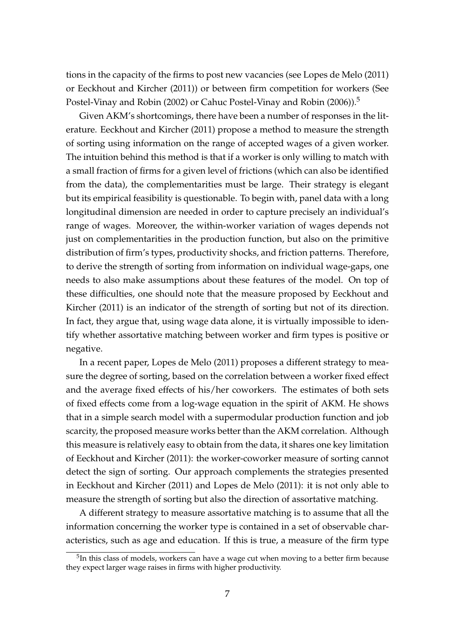tions in the capacity of the firms to post new vacancies (see Lopes de Melo (2011) or Eeckhout and Kircher (2011)) or between firm competition for workers (See Postel-Vinay and Robin (2002) or Cahuc Postel-Vinay and Robin (2006)).<sup>5</sup>

Given AKM's shortcomings, there have been a number of responses in the literature. Eeckhout and Kircher (2011) propose a method to measure the strength of sorting using information on the range of accepted wages of a given worker. The intuition behind this method is that if a worker is only willing to match with a small fraction of firms for a given level of frictions (which can also be identified from the data), the complementarities must be large. Their strategy is elegant but its empirical feasibility is questionable. To begin with, panel data with a long longitudinal dimension are needed in order to capture precisely an individual's range of wages. Moreover, the within-worker variation of wages depends not just on complementarities in the production function, but also on the primitive distribution of firm's types, productivity shocks, and friction patterns. Therefore, to derive the strength of sorting from information on individual wage-gaps, one needs to also make assumptions about these features of the model. On top of these difficulties, one should note that the measure proposed by Eeckhout and Kircher (2011) is an indicator of the strength of sorting but not of its direction. In fact, they argue that, using wage data alone, it is virtually impossible to identify whether assortative matching between worker and firm types is positive or negative.

In a recent paper, Lopes de Melo (2011) proposes a different strategy to measure the degree of sorting, based on the correlation between a worker fixed effect and the average fixed effects of his/her coworkers. The estimates of both sets of fixed effects come from a log-wage equation in the spirit of AKM. He shows that in a simple search model with a supermodular production function and job scarcity, the proposed measure works better than the AKM correlation. Although this measure is relatively easy to obtain from the data, it shares one key limitation of Eeckhout and Kircher (2011): the worker-coworker measure of sorting cannot detect the sign of sorting. Our approach complements the strategies presented in Eeckhout and Kircher (2011) and Lopes de Melo (2011): it is not only able to measure the strength of sorting but also the direction of assortative matching.

A different strategy to measure assortative matching is to assume that all the information concerning the worker type is contained in a set of observable characteristics, such as age and education. If this is true, a measure of the firm type

 $5$ In this class of models, workers can have a wage cut when moving to a better firm because they expect larger wage raises in firms with higher productivity.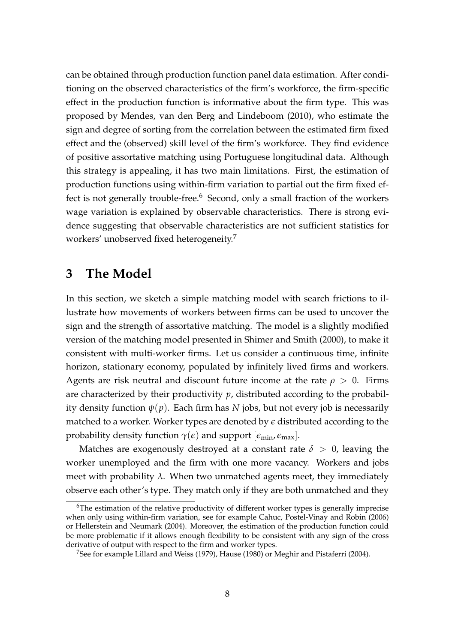can be obtained through production function panel data estimation. After conditioning on the observed characteristics of the firm's workforce, the firm-specific effect in the production function is informative about the firm type. This was proposed by Mendes, van den Berg and Lindeboom (2010), who estimate the sign and degree of sorting from the correlation between the estimated firm fixed effect and the (observed) skill level of the firm's workforce. They find evidence of positive assortative matching using Portuguese longitudinal data. Although this strategy is appealing, it has two main limitations. First, the estimation of production functions using within-firm variation to partial out the firm fixed effect is not generally trouble-free. $6$  Second, only a small fraction of the workers wage variation is explained by observable characteristics. There is strong evidence suggesting that observable characteristics are not sufficient statistics for workers' unobserved fixed heterogeneity.<sup>7</sup>

# **3 The Model**

In this section, we sketch a simple matching model with search frictions to illustrate how movements of workers between firms can be used to uncover the sign and the strength of assortative matching. The model is a slightly modified version of the matching model presented in Shimer and Smith (2000), to make it consistent with multi-worker firms. Let us consider a continuous time, infinite horizon, stationary economy, populated by infinitely lived firms and workers. Agents are risk neutral and discount future income at the rate  $\rho > 0$ . Firms are characterized by their productivity *p*, distributed according to the probability density function  $\psi(p)$ . Each firm has *N* jobs, but not every job is necessarily matched to a worker. Worker types are denoted by *e* distributed according to the probability density function  $\gamma(\epsilon)$  and support  $[\epsilon_{\min}, \epsilon_{\max}]$ .

Matches are exogenously destroyed at a constant rate  $\delta > 0$ , leaving the worker unemployed and the firm with one more vacancy. Workers and jobs meet with probability  $\lambda$ . When two unmatched agents meet, they immediately observe each other's type. They match only if they are both unmatched and they

 $6$ The estimation of the relative productivity of different worker types is generally imprecise when only using within-firm variation, see for example Cahuc, Postel-Vinay and Robin (2006) or Hellerstein and Neumark (2004). Moreover, the estimation of the production function could be more problematic if it allows enough flexibility to be consistent with any sign of the cross derivative of output with respect to the firm and worker types.

<sup>7</sup>See for example Lillard and Weiss (1979), Hause (1980) or Meghir and Pistaferri (2004).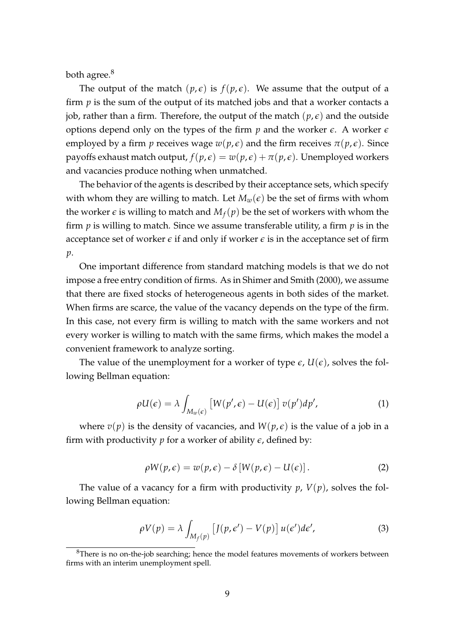both agree.<sup>8</sup>

The output of the match  $(p, \epsilon)$  is  $f(p, \epsilon)$ . We assume that the output of a firm *p* is the sum of the output of its matched jobs and that a worker contacts a job, rather than a firm. Therefore, the output of the match  $(p, \epsilon)$  and the outside options depend only on the types of the firm  $p$  and the worker  $\epsilon$ . A worker  $\epsilon$ employed by a firm *p* receives wage  $w(p, \epsilon)$  and the firm receives  $\pi(p, \epsilon)$ . Since payoffs exhaust match output,  $f(p, \epsilon) = w(p, \epsilon) + \pi(p, \epsilon)$ . Unemployed workers and vacancies produce nothing when unmatched.

The behavior of the agents is described by their acceptance sets, which specify with whom they are willing to match. Let  $M_w(\epsilon)$  be the set of firms with whom the worker  $\epsilon$  is willing to match and  $M_f(p)$  be the set of workers with whom the firm *p* is willing to match. Since we assume transferable utility, a firm *p* is in the acceptance set of worker  $\epsilon$  if and only if worker  $\epsilon$  is in the acceptance set of firm *p*.

One important difference from standard matching models is that we do not impose a free entry condition of firms. As in Shimer and Smith (2000), we assume that there are fixed stocks of heterogeneous agents in both sides of the market. When firms are scarce, the value of the vacancy depends on the type of the firm. In this case, not every firm is willing to match with the same workers and not every worker is willing to match with the same firms, which makes the model a convenient framework to analyze sorting.

The value of the unemployment for a worker of type  $\epsilon$ ,  $U(\epsilon)$ , solves the following Bellman equation:

$$
\rho U(\epsilon) = \lambda \int_{M_w(\epsilon)} \left[ W(p', \epsilon) - U(\epsilon) \right] v(p') dp', \tag{1}
$$

where  $v(p)$  is the density of vacancies, and  $W(p, \epsilon)$  is the value of a job in a firm with productivity  $p$  for a worker of ability  $\epsilon$ , defined by:

$$
\rho W(p,\epsilon) = w(p,\epsilon) - \delta [W(p,\epsilon) - U(\epsilon)]. \qquad (2)
$$

The value of a vacancy for a firm with productivity  $p$ ,  $V(p)$ , solves the following Bellman equation:

$$
\rho V(p) = \lambda \int_{M_f(p)} \left[ J(p, \epsilon') - V(p) \right] u(\epsilon') d\epsilon', \tag{3}
$$

 $8$ There is no on-the-job searching; hence the model features movements of workers between firms with an interim unemployment spell.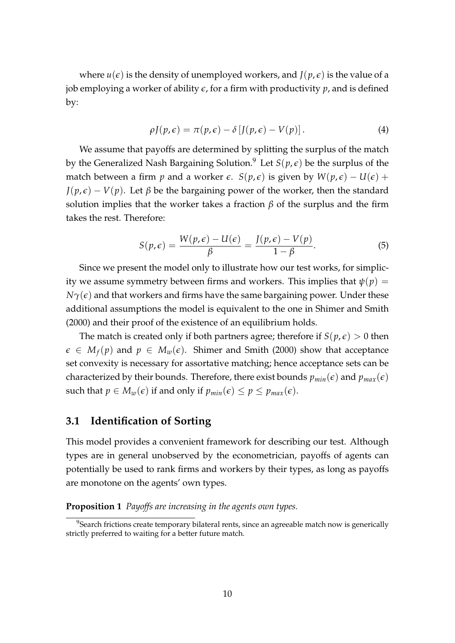where  $u(\epsilon)$  is the density of unemployed workers, and  $J(p, \epsilon)$  is the value of a job employing a worker of ability  $\epsilon$ , for a firm with productivity  $p$ , and is defined by:

$$
\rho J(p,\epsilon) = \pi(p,\epsilon) - \delta [J(p,\epsilon) - V(p)]. \qquad (4)
$$

We assume that payoffs are determined by splitting the surplus of the match by the Generalized Nash Bargaining Solution.<sup>9</sup> Let  $S(p, \epsilon)$  be the surplus of the match between a firm *p* and a worker  $\epsilon$ . *S*( $p, \epsilon$ ) is given by  $W(p, \epsilon) - U(\epsilon)$  +  $J(p, \epsilon) - V(p)$ . Let  $\beta$  be the bargaining power of the worker, then the standard solution implies that the worker takes a fraction  $\beta$  of the surplus and the firm takes the rest. Therefore:

$$
S(p,\epsilon) = \frac{W(p,\epsilon) - U(\epsilon)}{\beta} = \frac{J(p,\epsilon) - V(p)}{1 - \beta}.
$$
 (5)

Since we present the model only to illustrate how our test works, for simplicity we assume symmetry between firms and workers. This implies that  $\psi(p)$  =  $N\gamma(\epsilon)$  and that workers and firms have the same bargaining power. Under these additional assumptions the model is equivalent to the one in Shimer and Smith (2000) and their proof of the existence of an equilibrium holds.

The match is created only if both partners agree; therefore if  $S(p,\epsilon) > 0$  then  $\epsilon \in M_f(p)$  and  $p \in M_w(\epsilon)$ . Shimer and Smith (2000) show that acceptance set convexity is necessary for assortative matching; hence acceptance sets can be characterized by their bounds. Therefore, there exist bounds  $p_{min}(\epsilon)$  and  $p_{max}(\epsilon)$ such that  $p \in M_w(\epsilon)$  if and only if  $p_{min}(\epsilon) \leq p \leq p_{max}(\epsilon)$ .

#### **3.1 Identification of Sorting**

This model provides a convenient framework for describing our test. Although types are in general unobserved by the econometrician, payoffs of agents can potentially be used to rank firms and workers by their types, as long as payoffs are monotone on the agents' own types.

**Proposition 1** *Payoffs are increasing in the agents own types.*

<sup>&</sup>lt;sup>9</sup>Search frictions create temporary bilateral rents, since an agreeable match now is generically strictly preferred to waiting for a better future match.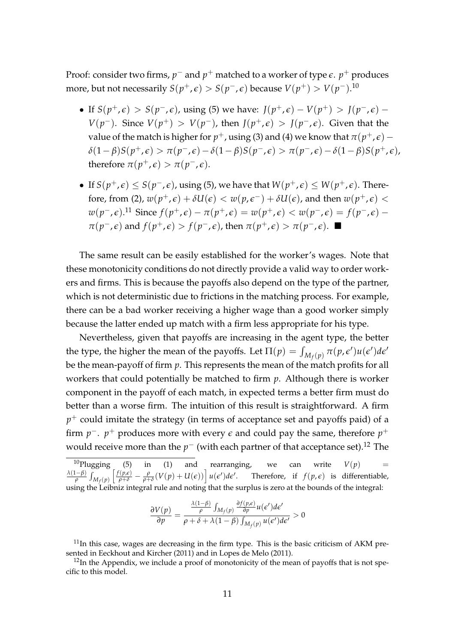Proof: consider two firms*,*  $p^-$  and  $p^+$  matched to a worker of type  $\epsilon$ .  $p^+$  produces more, but not necessarily  $S(p^+,\epsilon)>S(p^-,\epsilon)$  because  $V(p^+)>V(p^-).^{10}$ 

- If  $S(p^+,\epsilon) > S(p^-,\epsilon)$ , using (5) we have:  $J(p^+,\epsilon) V(p^+) > J(p^-,\epsilon)$ *V*( $p$ <sup>−</sup>). Since *V*( $p$ <sup>+</sup>) > *V*( $p$ <sup>−</sup>), then *J*( $p$ <sup>+</sup>, $\epsilon$ ) > *J*( $p$ <sup>−</sup>, $\epsilon$ ). Given that the value of the match is higher for  $p^+$ , using (3) and (4) we know that  $\pi(p^+,\epsilon) \delta(1-\beta)S(p^+,\epsilon) > \pi(p^-,\epsilon) - \delta(1-\beta)S(p^-,\epsilon) > \pi(p^-,\epsilon) - \delta(1-\beta)S(p^+,\epsilon),$ therefore  $\pi(p^+, \epsilon) > \pi(p^-, \epsilon)$ .
- If  $S(p^+,\epsilon) \leq S(p^-,\epsilon)$ , using (5), we have that  $W(p^+,\epsilon) \leq W(p^+,\epsilon)$ . Therefore, from (2),  $w(p^+,\epsilon) + \delta U(\epsilon) < w(p,\epsilon^-) + \delta U(\epsilon)$ , and then  $w(p^+,\epsilon) <$  $w(p^-, \epsilon)$ .<sup>11</sup> Since  $f(p^+, \epsilon) - \pi(p^+, \epsilon) = w(p^+, \epsilon) < w(p^-, \epsilon) = f(p^-, \epsilon) - \epsilon$ *π*( $p^-$ , $\epsilon$ ) and  $f(p^+$ , $\epsilon)$  >  $f(p^-$ , $\epsilon)$ , then  $\pi(p^+$ , $\epsilon)$  >  $\pi(p^-$ , $\epsilon)$ . ■

The same result can be easily established for the worker's wages. Note that these monotonicity conditions do not directly provide a valid way to order workers and firms. This is because the payoffs also depend on the type of the partner, which is not deterministic due to frictions in the matching process. For example, there can be a bad worker receiving a higher wage than a good worker simply because the latter ended up match with a firm less appropriate for his type.

Nevertheless, given that payoffs are increasing in the agent type, the better the type, the higher the mean of the payoffs. Let  $\Pi(p) = \int_{M_f(p)} \pi(p, \epsilon') u(\epsilon') d\epsilon'$ be the mean-payoff of firm *p*. This represents the mean of the match profits for all workers that could potentially be matched to firm *p*. Although there is worker component in the payoff of each match, in expected terms a better firm must do better than a worse firm. The intuition of this result is straightforward. A firm  $p^+$  could imitate the strategy (in terms of acceptance set and payoffs paid) of a firm  $p^-$ .  $p^+$  produces more with every  $\epsilon$  and could pay the same, therefore  $p^+$ would receive more than the  $p^-$  (with each partner of that acceptance set). $^{12}$  The

 $^{10}$ Plugging (5) in (1) and rearranging, we can write  $V(p)$  = *λ*(1−*β*)  $\frac{(-\beta)}{\rho} \int_{M_f(p)} \left[ \frac{f(p,\epsilon)}{\rho+\delta} - \frac{\rho}{\rho+\delta} (V(p) + U(\epsilon)) \right] u(\epsilon') d\epsilon'.$  Therefore, if  $f(p,\epsilon)$  is differentiable, using the Leibniz integral rule and noting that the surplus is zero at the bounds of the integral:

$$
\frac{\partial V(p)}{\partial p} = \frac{\frac{\lambda(1-\beta)}{\rho} \int_{M_f(p)} \frac{\partial f(p,\epsilon)}{\partial p} u(\epsilon') d\epsilon'}{\rho + \delta + \lambda(1-\beta) \int_{M_f(p)} u(\epsilon') d\epsilon'} > 0
$$

 $11$ In this case, wages are decreasing in the firm type. This is the basic criticism of AKM presented in Eeckhout and Kircher (2011) and in Lopes de Melo (2011).

 $12$ In the Appendix, we include a proof of monotonicity of the mean of payoffs that is not specific to this model.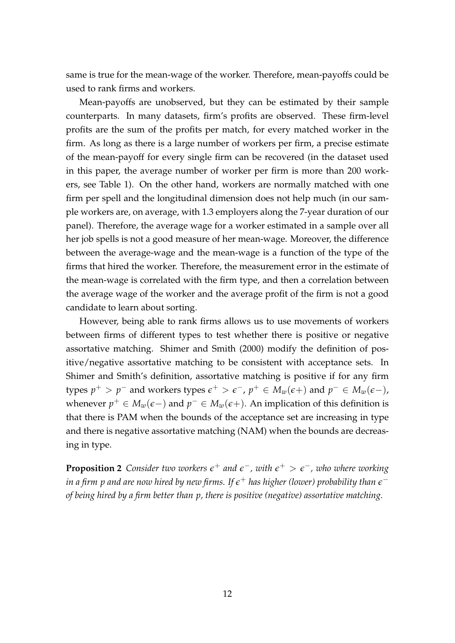same is true for the mean-wage of the worker. Therefore, mean-payoffs could be used to rank firms and workers.

Mean-payoffs are unobserved, but they can be estimated by their sample counterparts. In many datasets, firm's profits are observed. These firm-level profits are the sum of the profits per match, for every matched worker in the firm. As long as there is a large number of workers per firm, a precise estimate of the mean-payoff for every single firm can be recovered (in the dataset used in this paper, the average number of worker per firm is more than 200 workers, see Table 1). On the other hand, workers are normally matched with one firm per spell and the longitudinal dimension does not help much (in our sample workers are, on average, with 1.3 employers along the 7-year duration of our panel). Therefore, the average wage for a worker estimated in a sample over all her job spells is not a good measure of her mean-wage. Moreover, the difference between the average-wage and the mean-wage is a function of the type of the firms that hired the worker. Therefore, the measurement error in the estimate of the mean-wage is correlated with the firm type, and then a correlation between the average wage of the worker and the average profit of the firm is not a good candidate to learn about sorting.

However, being able to rank firms allows us to use movements of workers between firms of different types to test whether there is positive or negative assortative matching. Shimer and Smith (2000) modify the definition of positive/negative assortative matching to be consistent with acceptance sets. In Shimer and Smith's definition, assortative matching is positive if for any firm types  $p^+ > p^-$  and workers types  $\epsilon^+ > \epsilon^-$ ,  $p^+ \in M_w(\epsilon+)$  and  $p^- \in M_w(\epsilon-)$ , whenever  $p^+ \in M_w(\epsilon-)$  and  $p^- \in M_w(\epsilon+)$ . An implication of this definition is that there is PAM when the bounds of the acceptance set are increasing in type and there is negative assortative matching (NAM) when the bounds are decreasing in type.

**Proposition 2** Consider two workers  $\epsilon^+$  and  $\epsilon^-$ , with  $\epsilon^+ > \epsilon^-$ , who where working in a firm  $p$  and are now hired by new firms. If  $\epsilon^+$  has higher (lower) probability than  $\epsilon^$ *of being hired by a firm better than p, there is positive (negative) assortative matching.*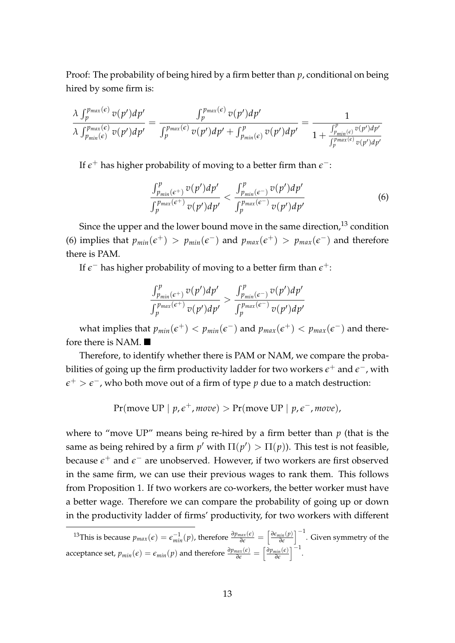Proof: The probability of being hired by a firm better than *p*, conditional on being hired by some firm is:

$$
\frac{\lambda \int_{p}^{p_{max}(\epsilon)} v(p') dp'}{\lambda \int_{p_{min}(\epsilon)}^{p_{max}(\epsilon)} v(p') dp'} = \frac{\int_{p}^{p_{max}(\epsilon)} v(p') dp'}{\int_{p}^{p_{max}(\epsilon)} v(p') dp' + \int_{p_{min}(\epsilon)}^{p} v(p') dp'} = \frac{1}{1 + \frac{\int_{p_{min}(\epsilon)}^{p} v(p') dp'}{\int_{p}^{p_{max}(\epsilon)} v(p') dp'}}
$$

If  $\epsilon^+$  has higher probability of moving to a better firm than  $\epsilon^-$ :

$$
\frac{\int_{p_{min}(\epsilon^+)}^p v(p') dp'}{\int_p^{p_{max}(\epsilon^+)} v(p') dp'} < \frac{\int_{p_{min}(\epsilon^-)}^p v(p') dp'}{\int_p^{p_{max}(\epsilon^-)} v(p') dp'}\n \tag{6}
$$

Since the upper and the lower bound move in the same direction,<sup>13</sup> condition (6) implies that  $p_{min}(\epsilon^+) > p_{min}(\epsilon^-)$  and  $p_{max}(\epsilon^+) > p_{max}(\epsilon^-)$  and therefore there is PAM.

If  $\epsilon^-$  has higher probability of moving to a better firm than  $\epsilon^+$ :

$$
\frac{\int_{p_{min}(\epsilon^+)}^p v(p') dp'}{\int_{p}^{p_{max}(\epsilon^+)} v(p') dp'} > \frac{\int_{p_{min}(\epsilon^-)}^p v(p') dp'}{\int_{p}^{p_{max}(\epsilon^-)} v(p') dp'}
$$

what implies that  $p_{min}(\epsilon^+) < p_{min}(\epsilon^-)$  and  $p_{max}(\epsilon^+) < p_{max}(\epsilon^-)$  and therefore there is NAM.

Therefore, to identify whether there is PAM or NAM, we compare the probabilities of going up the firm productivity ladder for two workers  $\epsilon^+$  and  $\epsilon^-$ , with *e* <sup>+</sup> > *e* <sup>−</sup>, who both move out of a firm of type *p* due to a match destruction:

$$
Pr(move UP | p, \epsilon^+, move) > Pr(move UP | p, \epsilon^-, move),
$$

where to "move UP" means being re-hired by a firm better than  $p$  (that is the same as being rehired by a firm  $p'$  with  $\Pi(p') > \Pi(p)$ ). This test is not feasible, because  $\epsilon^+$  and  $\epsilon^-$  are unobserved. However, if two workers are first observed in the same firm, we can use their previous wages to rank them. This follows from Proposition 1. If two workers are co-workers, the better worker must have a better wage. Therefore we can compare the probability of going up or down in the productivity ladder of firms' productivity, for two workers with different

<sup>&</sup>lt;sup>13</sup>This is because  $p_{max}(\epsilon) = \epsilon_{min}^{-1}(p)$ , therefore  $\frac{\partial p_{max}(\epsilon)}{\partial \epsilon} = \left[\frac{\partial \epsilon_{min}(p)}{\partial \epsilon}\right]^{-1}$ . Given symmetry of the acceptance set,  $p_{min}(\epsilon) = \epsilon_{min}(p)$  and therefore  $\frac{\partial p_{max}(\epsilon)}{\partial \epsilon} = \left[\frac{\partial p_{min}(\epsilon)}{\partial \epsilon}\right]^{-1}$ .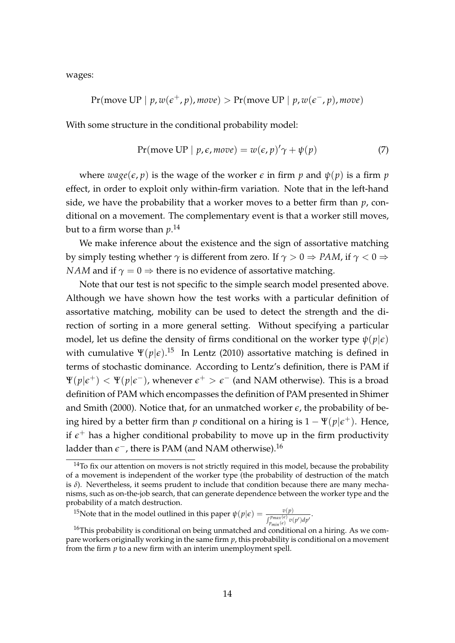wages:

$$
Pr(move UP \mid p, w(e^+, p), move) > Pr(move UP \mid p, w(e^-, p), move)
$$

With some structure in the conditional probability model:

$$
Pr(move UP | p, \epsilon, move) = w(\epsilon, p)' \gamma + \psi(p)
$$
 (7)

where  $wage(\epsilon, p)$  is the wage of the worker  $\epsilon$  in firm  $p$  and  $\psi(p)$  is a firm  $p$ effect, in order to exploit only within-firm variation. Note that in the left-hand side, we have the probability that a worker moves to a better firm than *p*, conditional on a movement. The complementary event is that a worker still moves, but to a firm worse than *p*. 14

We make inference about the existence and the sign of assortative matching by simply testing whether  $\gamma$  is different from zero. If  $\gamma > 0 \Rightarrow PAM$ , if  $\gamma < 0 \Rightarrow$ *NAM* and if  $\gamma = 0 \Rightarrow$  there is no evidence of assortative matching.

Note that our test is not specific to the simple search model presented above. Although we have shown how the test works with a particular definition of assortative matching, mobility can be used to detect the strength and the direction of sorting in a more general setting. Without specifying a particular model, let us define the density of firms conditional on the worker type  $\psi(p|\epsilon)$ with cumulative  $\Psi(p|\epsilon).^{15}$  In Lentz (2010) assortative matching is defined in terms of stochastic dominance. According to Lentz's definition, there is PAM if  $\Psi(p|\epsilon^+) < \Psi(p|\epsilon^-)$ , whenever  $\epsilon^+ > \epsilon^-$  (and NAM otherwise). This is a broad definition of PAM which encompasses the definition of PAM presented in Shimer and Smith (2000). Notice that, for an unmatched worker  $\epsilon$ , the probability of being hired by a better firm than  $p$  conditional on a hiring is  $1 - \Psi(p|\epsilon^+)$ . Hence, if  $\epsilon^+$  has a higher conditional probability to move up in the firm productivity ladder than  $\epsilon^-$ , there is PAM (and NAM otherwise).<sup>16</sup>

<sup>15</sup>Note that in the model outlined in this paper  $\psi(p|\epsilon) = \frac{v(p)}{\int_{p_{min}(\epsilon)}^{p_{max}(\epsilon)} v(p') dp'}$ .

 $14$ To fix our attention on movers is not strictly required in this model, because the probability of a movement is independent of the worker type (the probability of destruction of the match is  $\delta$ ). Nevertheless, it seems prudent to include that condition because there are many mechanisms, such as on-the-job search, that can generate dependence between the worker type and the probability of a match destruction.

 $16$ This probability is conditional on being unmatched and conditional on a hiring. As we compare workers originally working in the same firm *p*, this probability is conditional on a movement from the firm *p* to a new firm with an interim unemployment spell.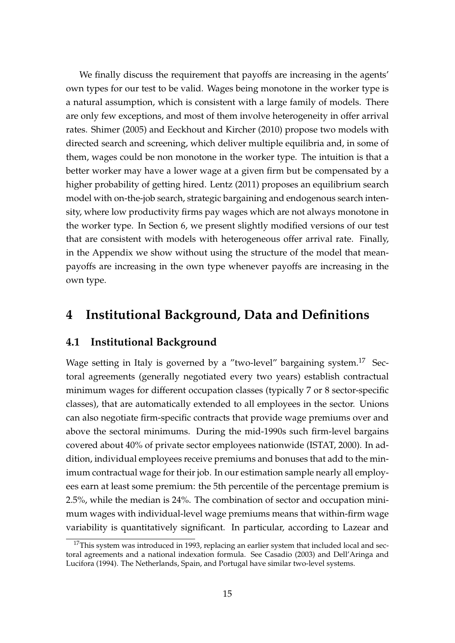We finally discuss the requirement that payoffs are increasing in the agents' own types for our test to be valid. Wages being monotone in the worker type is a natural assumption, which is consistent with a large family of models. There are only few exceptions, and most of them involve heterogeneity in offer arrival rates. Shimer (2005) and Eeckhout and Kircher (2010) propose two models with directed search and screening, which deliver multiple equilibria and, in some of them, wages could be non monotone in the worker type. The intuition is that a better worker may have a lower wage at a given firm but be compensated by a higher probability of getting hired. Lentz (2011) proposes an equilibrium search model with on-the-job search, strategic bargaining and endogenous search intensity, where low productivity firms pay wages which are not always monotone in the worker type. In Section 6, we present slightly modified versions of our test that are consistent with models with heterogeneous offer arrival rate. Finally, in the Appendix we show without using the structure of the model that meanpayoffs are increasing in the own type whenever payoffs are increasing in the own type.

# **4 Institutional Background, Data and Definitions**

#### **4.1 Institutional Background**

Wage setting in Italy is governed by a "two-level" bargaining system.<sup>17</sup> Sectoral agreements (generally negotiated every two years) establish contractual minimum wages for different occupation classes (typically 7 or 8 sector-specific classes), that are automatically extended to all employees in the sector. Unions can also negotiate firm-specific contracts that provide wage premiums over and above the sectoral minimums. During the mid-1990s such firm-level bargains covered about 40% of private sector employees nationwide (ISTAT, 2000). In addition, individual employees receive premiums and bonuses that add to the minimum contractual wage for their job. In our estimation sample nearly all employees earn at least some premium: the 5th percentile of the percentage premium is 2.5%, while the median is 24%. The combination of sector and occupation minimum wages with individual-level wage premiums means that within-firm wage variability is quantitatively significant. In particular, according to Lazear and

 $17$ This system was introduced in 1993, replacing an earlier system that included local and sectoral agreements and a national indexation formula. See Casadio (2003) and Dell'Aringa and Lucifora (1994). The Netherlands, Spain, and Portugal have similar two-level systems.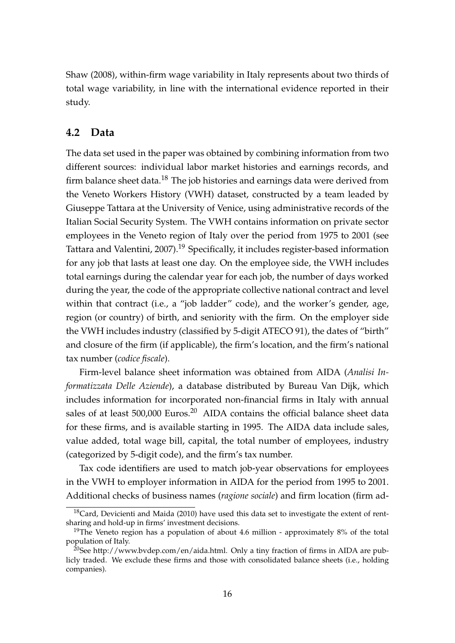Shaw (2008), within-firm wage variability in Italy represents about two thirds of total wage variability, in line with the international evidence reported in their study.

#### **4.2 Data**

The data set used in the paper was obtained by combining information from two different sources: individual labor market histories and earnings records, and firm balance sheet data.<sup>18</sup> The job histories and earnings data were derived from the Veneto Workers History (VWH) dataset, constructed by a team leaded by Giuseppe Tattara at the University of Venice, using administrative records of the Italian Social Security System. The VWH contains information on private sector employees in the Veneto region of Italy over the period from 1975 to 2001 (see Tattara and Valentini, 2007).<sup>19</sup> Specifically, it includes register-based information for any job that lasts at least one day. On the employee side, the VWH includes total earnings during the calendar year for each job, the number of days worked during the year, the code of the appropriate collective national contract and level within that contract (i.e., a "job ladder" code), and the worker's gender, age, region (or country) of birth, and seniority with the firm. On the employer side the VWH includes industry (classified by 5-digit ATECO 91), the dates of "birth" and closure of the firm (if applicable), the firm's location, and the firm's national tax number (*codice fiscale*).

Firm-level balance sheet information was obtained from AIDA (*Analisi Informatizzata Delle Aziende*), a database distributed by Bureau Van Dijk, which includes information for incorporated non-financial firms in Italy with annual sales of at least  $500,000$  Euros.<sup>20</sup> AIDA contains the official balance sheet data for these firms, and is available starting in 1995. The AIDA data include sales, value added, total wage bill, capital, the total number of employees, industry (categorized by 5-digit code), and the firm's tax number.

Tax code identifiers are used to match job-year observations for employees in the VWH to employer information in AIDA for the period from 1995 to 2001. Additional checks of business names (*ragione sociale*) and firm location (firm ad-

 $18$ Card, Devicienti and Maida (2010) have used this data set to investigate the extent of rentsharing and hold-up in firms' investment decisions.

<sup>&</sup>lt;sup>19</sup>The Veneto region has a population of about 4.6 million - approximately  $8\%$  of the total population of Italy.

<sup>&</sup>lt;sup>20</sup>See http://www.bvdep.com/en/aida.html. Only a tiny fraction of firms in AIDA are publicly traded. We exclude these firms and those with consolidated balance sheets (i.e., holding companies).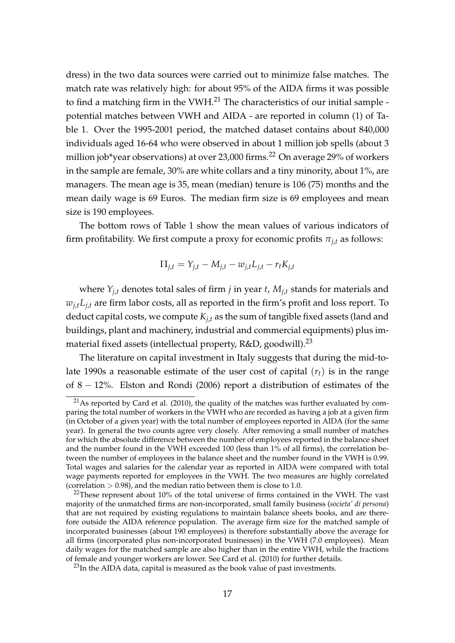dress) in the two data sources were carried out to minimize false matches. The match rate was relatively high: for about 95% of the AIDA firms it was possible to find a matching firm in the VWH. $^{21}$  The characteristics of our initial sample potential matches between VWH and AIDA - are reported in column (1) of Table 1. Over the 1995-2001 period, the matched dataset contains about 840,000 individuals aged 16-64 who were observed in about 1 million job spells (about 3 million job\*year observations) at over 23,000 firms.<sup>22</sup> On average 29% of workers in the sample are female, 30% are white collars and a tiny minority, about 1%, are managers. The mean age is 35, mean (median) tenure is 106 (75) months and the mean daily wage is 69 Euros. The median firm size is 69 employees and mean size is 190 employees.

The bottom rows of Table 1 show the mean values of various indicators of firm profitability. We first compute a proxy for economic profits  $\pi_{i,t}$  as follows:

$$
\Pi_{j,t} = Y_{j,t} - M_{j,t} - w_{j,t} L_{j,t} - r_t K_{j,t}
$$

where  $Y_{i,t}$  denotes total sales of firm *j* in year *t*,  $M_{i,t}$  stands for materials and  $w_{i,t}L_{i,t}$  are firm labor costs, all as reported in the firm's profit and loss report. To deduct capital costs, we compute  $K_{i,t}$  as the sum of tangible fixed assets (land and buildings, plant and machinery, industrial and commercial equipments) plus immaterial fixed assets (intellectual property,  $R&D$ , goodwill).<sup>23</sup>

The literature on capital investment in Italy suggests that during the mid-tolate 1990s a reasonable estimate of the user cost of capital  $(r_t)$  is in the range of 8 − 12%. Elston and Rondi (2006) report a distribution of estimates of the

 $^{21}$ As reported by Card et al. (2010), the quality of the matches was further evaluated by comparing the total number of workers in the VWH who are recorded as having a job at a given firm (in October of a given year) with the total number of employees reported in AIDA (for the same year). In general the two counts agree very closely. After removing a small number of matches for which the absolute difference between the number of employees reported in the balance sheet and the number found in the VWH exceeded 100 (less than 1% of all firms), the correlation between the number of employees in the balance sheet and the number found in the VWH is 0.99. Total wages and salaries for the calendar year as reported in AIDA were compared with total wage payments reported for employees in the VWH. The two measures are highly correlated (correlation  $> 0.98$ ), and the median ratio between them is close to 1.0.

 $^{22}$ These represent about 10% of the total universe of firms contained in the VWH. The vast majority of the unmatched firms are non-incorporated, small family business (*societa' di persona*) that are not required by existing regulations to maintain balance sheets books, and are therefore outside the AIDA reference population. The average firm size for the matched sample of incorporated businesses (about 190 employees) is therefore substantially above the average for all firms (incorporated plus non-incorporated businesses) in the VWH (7.0 employees). Mean daily wages for the matched sample are also higher than in the entire VWH, while the fractions of female and younger workers are lower. See Card et al. (2010) for further details.

 $^{23}$ In the AIDA data, capital is measured as the book value of past investments.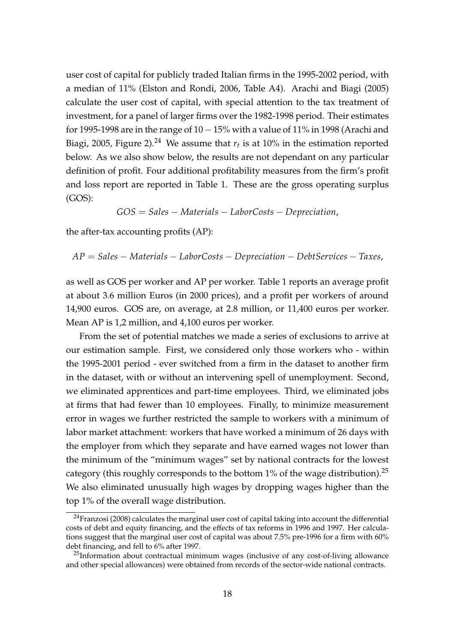user cost of capital for publicly traded Italian firms in the 1995-2002 period, with a median of 11% (Elston and Rondi, 2006, Table A4). Arachi and Biagi (2005) calculate the user cost of capital, with special attention to the tax treatment of investment, for a panel of larger firms over the 1982-1998 period. Their estimates for 1995-1998 are in the range of 10−15% with a value of 11% in 1998 (Arachi and Biagi, 2005, Figure 2).<sup>24</sup> We assume that  $r_t$  is at 10% in the estimation reported below. As we also show below, the results are not dependant on any particular definition of profit. Four additional profitability measures from the firm's profit and loss report are reported in Table 1. These are the gross operating surplus (GOS):

$$
GOS = Sales - Materials - LaborCosts - Depreciation,
$$

the after-tax accounting profits (AP):

$$
AP = Sales - Materials - LaboratoryCosts - Depreciation - DebtServices - Taxes,
$$

as well as GOS per worker and AP per worker. Table 1 reports an average profit at about 3.6 million Euros (in 2000 prices), and a profit per workers of around 14,900 euros. GOS are, on average, at 2.8 million, or 11,400 euros per worker. Mean AP is 1,2 million, and 4,100 euros per worker.

From the set of potential matches we made a series of exclusions to arrive at our estimation sample. First, we considered only those workers who - within the 1995-2001 period - ever switched from a firm in the dataset to another firm in the dataset, with or without an intervening spell of unemployment. Second, we eliminated apprentices and part-time employees. Third, we eliminated jobs at firms that had fewer than 10 employees. Finally, to minimize measurement error in wages we further restricted the sample to workers with a minimum of labor market attachment: workers that have worked a minimum of 26 days with the employer from which they separate and have earned wages not lower than the minimum of the "minimum wages" set by national contracts for the lowest category (this roughly corresponds to the bottom  $1\%$  of the wage distribution).<sup>25</sup> We also eliminated unusually high wages by dropping wages higher than the top 1% of the overall wage distribution.

 $24$ Franzosi (2008) calculates the marginal user cost of capital taking into account the differential costs of debt and equity financing, and the effects of tax reforms in 1996 and 1997. Her calculations suggest that the marginal user cost of capital was about 7.5% pre-1996 for a firm with 60% debt financing, and fell to 6% after 1997.

 $^{25}$ Information about contractual minimum wages (inclusive of any cost-of-living allowance and other special allowances) were obtained from records of the sector-wide national contracts.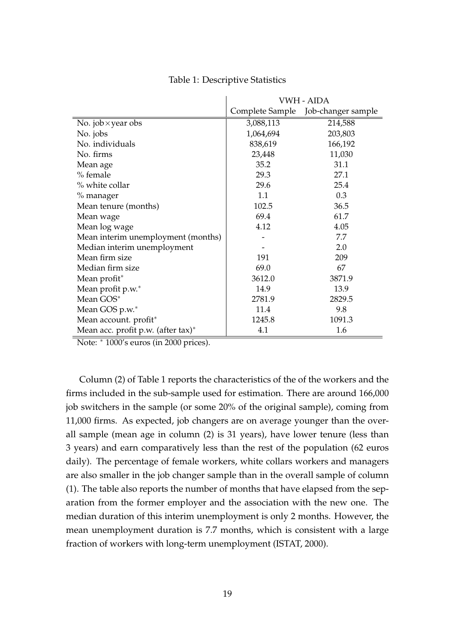|                                    | VWH - AIDA      |                    |  |  |
|------------------------------------|-----------------|--------------------|--|--|
|                                    | Complete Sample | Job-changer sample |  |  |
| No. job $\times$ year obs          | 3,088,113       | 214,588            |  |  |
| No. jobs                           | 1,064,694       | 203,803            |  |  |
| No. individuals                    | 838,619         | 166,192            |  |  |
| No. firms                          | 23,448          | 11,030             |  |  |
| Mean age                           | 35.2            | 31.1               |  |  |
| % female                           | 29.3            | 27.1               |  |  |
| % white collar                     | 29.6            | 25.4               |  |  |
| % manager                          | 1.1             | 0.3                |  |  |
| Mean tenure (months)               | 102.5           | 36.5               |  |  |
| Mean wage                          | 69.4            | 61.7               |  |  |
| Mean log wage                      | 4.12            | 4.05               |  |  |
| Mean interim unemployment (months) |                 | 7.7                |  |  |
| Median interim unemployment        |                 | 2.0                |  |  |
| Mean firm size                     | 191             | 209                |  |  |
| Median firm size                   | 69.0            | 67                 |  |  |
| Mean profit*                       | 3612.0          | 3871.9             |  |  |
| Mean profit p.w.*                  | 14.9            | 13.9               |  |  |
| Mean GOS*                          | 2781.9          | 2829.5             |  |  |
| Mean GOS p.w.*                     | 11.4            | 9.8                |  |  |
| Mean account. profit*              | 1245.8          | 1091.3             |  |  |
| Mean acc. profit p.w. (after tax)* | 4.1             | 1.6                |  |  |

Table 1: Descriptive Statistics

Note: <sup>∗</sup> 1000's euros (in 2000 prices).

Column (2) of Table 1 reports the characteristics of the of the workers and the firms included in the sub-sample used for estimation. There are around 166,000 job switchers in the sample (or some 20% of the original sample), coming from 11,000 firms. As expected, job changers are on average younger than the overall sample (mean age in column (2) is 31 years), have lower tenure (less than 3 years) and earn comparatively less than the rest of the population (62 euros daily). The percentage of female workers, white collars workers and managers are also smaller in the job changer sample than in the overall sample of column (1). The table also reports the number of months that have elapsed from the separation from the former employer and the association with the new one. The median duration of this interim unemployment is only 2 months. However, the mean unemployment duration is 7.7 months, which is consistent with a large fraction of workers with long-term unemployment (ISTAT, 2000).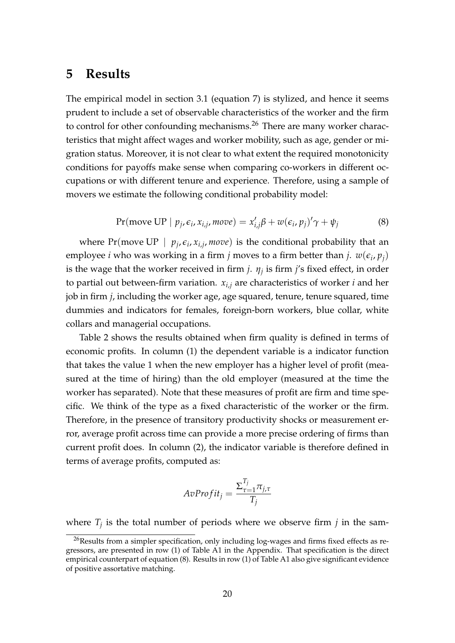### **5 Results**

The empirical model in section 3.1 (equation 7) is stylized, and hence it seems prudent to include a set of observable characteristics of the worker and the firm to control for other confounding mechanisms.<sup>26</sup> There are many worker characteristics that might affect wages and worker mobility, such as age, gender or migration status. Moreover, it is not clear to what extent the required monotonicity conditions for payoffs make sense when comparing co-workers in different occupations or with different tenure and experience. Therefore, using a sample of movers we estimate the following conditional probability model:

$$
Pr(\text{move UP} \mid p_j, \epsilon_i, x_{i,j}, \text{move}) = x'_{i,j}\beta + w(\epsilon_i, p_j)'\gamma + \psi_j \tag{8}
$$

where Pr(move UP |  $p_j$ ,  $\varepsilon_i$ ,  $x_{i,j}$ , move) is the conditional probability that an employee *i* who was working in a firm *j* moves to a firm better than *j*.  $w(\epsilon_i, p_j)$ is the wage that the worker received in firm *j*. *η<sup>j</sup>* is firm *j*'s fixed effect, in order to partial out between-firm variation.  $x_{i,j}$  are characteristics of worker *i* and her job in firm *j*, including the worker age, age squared, tenure, tenure squared, time dummies and indicators for females, foreign-born workers, blue collar, white collars and managerial occupations.

Table 2 shows the results obtained when firm quality is defined in terms of economic profits. In column (1) the dependent variable is a indicator function that takes the value 1 when the new employer has a higher level of profit (measured at the time of hiring) than the old employer (measured at the time the worker has separated). Note that these measures of profit are firm and time specific. We think of the type as a fixed characteristic of the worker or the firm. Therefore, in the presence of transitory productivity shocks or measurement error, average profit across time can provide a more precise ordering of firms than current profit does. In column (2), the indicator variable is therefore defined in terms of average profits, computed as:

$$
AvProfit_j = \frac{\Sigma_{\tau=1}^{T_j} \pi_{j,\tau}}{T_j}
$$

where  $T_j$  is the total number of periods where we observe firm  $j$  in the sam-

<sup>&</sup>lt;sup>26</sup>Results from a simpler specification, only including log-wages and firms fixed effects as regressors, are presented in row (1) of Table A1 in the Appendix. That specification is the direct empirical counterpart of equation (8). Results in row (1) of Table A1 also give significant evidence of positive assortative matching.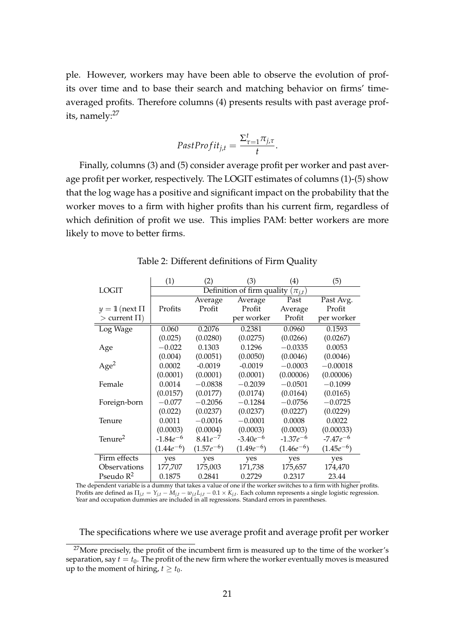ple. However, workers may have been able to observe the evolution of profits over time and to base their search and matching behavior on firms' timeaveraged profits. Therefore columns (4) presents results with past average profits, namely: $27$ 

$$
FastProfit_{j,t} = \frac{\Sigma_{\tau=1}^t \pi_{j,\tau}}{t}.
$$

Finally, columns (3) and (5) consider average profit per worker and past average profit per worker, respectively. The LOGIT estimates of columns (1)-(5) show that the log wage has a positive and significant impact on the probability that the worker moves to a firm with higher profits than his current firm, regardless of which definition of profit we use. This implies PAM: better workers are more likely to move to better firms.

|                     | (1)            | (2)            | (3)                                      | $\left( 4\right)$ | (5)            |
|---------------------|----------------|----------------|------------------------------------------|-------------------|----------------|
| <b>LOGIT</b>        |                |                | Definition of firm quality $(\pi_{i,t})$ |                   |                |
|                     |                | Average        | Average                                  | Past              | Past Avg.      |
| $y = 1$ (next $\Pi$ | Profits        | Profit         | Profit                                   | Average           | Profit         |
| $>$ current $\Pi$ ) |                |                | per worker                               | Profit            | per worker     |
| Log Wage            | 0.060          | 0.2076         | 0.2381                                   | 0.0960            | 0.1593         |
|                     | (0.025)        | (0.0280)       | (0.0275)                                 | (0.0266)          | (0.0267)       |
| Age                 | $-0.022$       | 0.1303         | 0.1296                                   | $-0.0335$         | 0.0053         |
|                     | (0.004)        | (0.0051)       | (0.0050)                                 | (0.0046)          | (0.0046)       |
| Age <sup>2</sup>    | 0.0002         | $-0.0019$      | $-0.0019$                                | $-0.0003$         | $-0.00018$     |
|                     | (0.0001)       | (0.0001)       | (0.0001)                                 | (0.00006)         | (0.00006)      |
| Female              | 0.0014         | $-0.0838$      | $-0.2039$                                | $-0.0501$         | $-0.1099$      |
|                     | (0.0157)       | (0.0177)       | (0.0174)                                 | (0.0164)          | (0.0165)       |
| Foreign-born        | $-0.077$       | $-0.2056$      | $-0.1284$                                | $-0.0756$         | $-0.0725$      |
|                     | (0.022)        | (0.0237)       | (0.0237)                                 | (0.0227)          | (0.0229)       |
| Tenure              | 0.0011         | $-0.0016$      | $-0.0001$                                | 0.0008            | 0.0022         |
|                     | (0.0003)       | (0.0004)       | (0.0003)                                 | (0.0003)          | (0.00033)      |
| Tenure <sup>2</sup> | -1.84 $e^{-6}$ | $8.41e^{-7}$   | $-3.40e^{-6}$                            | $-1.37e^{-6}$     | $-7.47e^{-6}$  |
|                     | $(1.44e^{-6})$ | $(1.57e^{-6})$ | $(1.49e^{-6})$                           | $(1.46e^{-6})$    | $(1.45e^{-6})$ |
| Firm effects        | yes            | yes            | yes                                      | yes               | yes            |
| Observations        | 177,707        | 175,003        | 171,738                                  | 175,657           | 174,470        |
| Pseudo $R^2$        | 0.1875         | 0.2841         | 0.2729                                   | 0.2317            | 23.44          |

Table 2: Different definitions of Firm Quality

The dependent variable is a dummy that takes a value of one if the worker switches to a firm with higher profits. Profits are defined as  $\Pi_{j,t}=Y_{j,t}-M_{j,t}-w_{j,t}L_{j,t}-0.1\times K_{j,t}.$  Each column represents a single logistic regression. Year and occupation dummies are included in all regressions. Standard errors in parentheses.

The specifications where we use average profit and average profit per worker

<sup>&</sup>lt;sup>27</sup>More precisely, the profit of the incumbent firm is measured up to the time of the worker's separation, say  $t = t_0$ . The profit of the new firm where the worker eventually moves is measured up to the moment of hiring,  $t \geq t_0$ .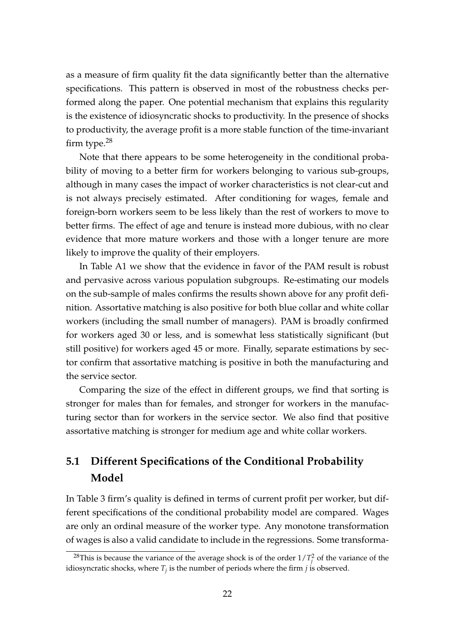as a measure of firm quality fit the data significantly better than the alternative specifications. This pattern is observed in most of the robustness checks performed along the paper. One potential mechanism that explains this regularity is the existence of idiosyncratic shocks to productivity. In the presence of shocks to productivity, the average profit is a more stable function of the time-invariant firm type.<sup>28</sup>

Note that there appears to be some heterogeneity in the conditional probability of moving to a better firm for workers belonging to various sub-groups, although in many cases the impact of worker characteristics is not clear-cut and is not always precisely estimated. After conditioning for wages, female and foreign-born workers seem to be less likely than the rest of workers to move to better firms. The effect of age and tenure is instead more dubious, with no clear evidence that more mature workers and those with a longer tenure are more likely to improve the quality of their employers.

In Table A1 we show that the evidence in favor of the PAM result is robust and pervasive across various population subgroups. Re-estimating our models on the sub-sample of males confirms the results shown above for any profit definition. Assortative matching is also positive for both blue collar and white collar workers (including the small number of managers). PAM is broadly confirmed for workers aged 30 or less, and is somewhat less statistically significant (but still positive) for workers aged 45 or more. Finally, separate estimations by sector confirm that assortative matching is positive in both the manufacturing and the service sector.

Comparing the size of the effect in different groups, we find that sorting is stronger for males than for females, and stronger for workers in the manufacturing sector than for workers in the service sector. We also find that positive assortative matching is stronger for medium age and white collar workers.

# **5.1 Different Specifications of the Conditional Probability Model**

In Table 3 firm's quality is defined in terms of current profit per worker, but different specifications of the conditional probability model are compared. Wages are only an ordinal measure of the worker type. Any monotone transformation of wages is also a valid candidate to include in the regressions. Some transforma-

<sup>&</sup>lt;sup>28</sup>This is because the variance of the average shock is of the order  $1/T_j^2$  of the variance of the idiosyncratic shocks, where  $T_j$  is the number of periods where the firm  $j$  is observed.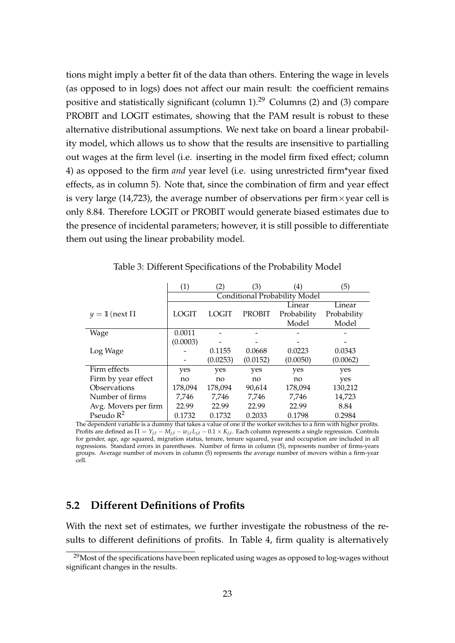tions might imply a better fit of the data than others. Entering the wage in levels (as opposed to in logs) does not affect our main result: the coefficient remains positive and statistically significant (column  $1$ ).<sup>29</sup> Columns (2) and (3) compare PROBIT and LOGIT estimates, showing that the PAM result is robust to these alternative distributional assumptions. We next take on board a linear probability model, which allows us to show that the results are insensitive to partialling out wages at the firm level (i.e. inserting in the model firm fixed effect; column 4) as opposed to the firm *and* year level (i.e. using unrestricted firm\*year fixed effects, as in column 5). Note that, since the combination of firm and year effect is very large (14,723), the average number of observations per firm  $\times$  year cell is only 8.84. Therefore LOGIT or PROBIT would generate biased estimates due to the presence of incidental parameters; however, it is still possible to differentiate them out using the linear probability model.

|                      | (1)      | (2)          | (3)           | (4)                                  | (5)         |
|----------------------|----------|--------------|---------------|--------------------------------------|-------------|
|                      |          |              |               | <b>Conditional Probability Model</b> |             |
|                      |          |              |               | Linear                               | Linear      |
| $y = 1$ (next $\Pi$  | LOGIT    | <b>LOGIT</b> | <b>PROBIT</b> | Probability                          | Probability |
|                      |          |              |               | Model                                | Model       |
| Wage                 | 0.0011   |              |               |                                      |             |
|                      | (0.0003) |              |               |                                      |             |
| Log Wage             |          | 0.1155       | 0.0668        | 0.0223                               | 0.0343      |
|                      |          | (0.0253)     | (0.0152)      | (0.0050)                             | (0.0062)    |
| Firm effects         | yes      | yes          | yes           | yes                                  | yes         |
| Firm by year effect  | no       | no           | no            | no                                   | yes         |
| Observations         | 178,094  | 178,094      | 90,614        | 178,094                              | 130,212     |
| Number of firms      | 7,746    | 7,746        | 7,746         | 7,746                                | 14,723      |
| Avg. Movers per firm | 22.99    | 22.99        | 22.99         | 22.99                                | 8.84        |
| Pseudo $R^2$         | 0.1732   | 0.1732       | 0.2033        | 0.1798                               | 0.2984      |

Table 3: Different Specifications of the Probability Model

The dependent variable is a dummy that takes a value of one if the worker switches to a firm with higher profits. Profits are defined as Π = *Yj*,*<sup>t</sup>* − *Mj*,*<sup>t</sup>* − *wj*,*tLj*,*<sup>t</sup>* − 0.1 × *Kj*,*<sup>t</sup>* . Each column represents a single regression. Controls for gender, age, age squared, migration status, tenure, tenure squared, year and occupation are included in all regressions. Standard errors in parentheses. Number of firms in column (5), represents number of firms-years groups. Average number of movers in column (5) represents the average number of movers within a firm-year cell.

#### **5.2 Different Definitions of Profits**

With the next set of estimates, we further investigate the robustness of the results to different definitions of profits. In Table 4, firm quality is alternatively

<sup>&</sup>lt;sup>29</sup>Most of the specifications have been replicated using wages as opposed to log-wages without significant changes in the results.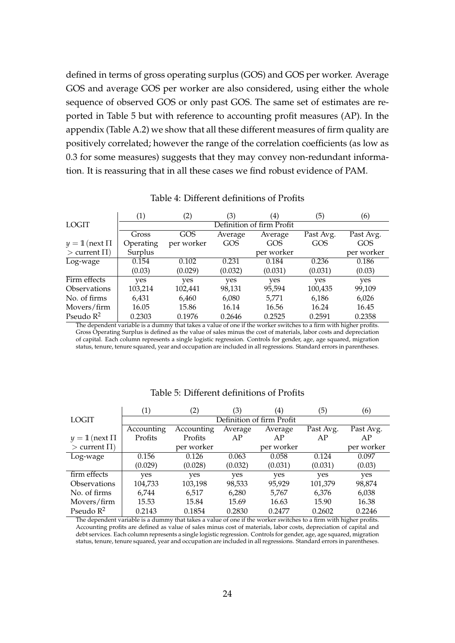defined in terms of gross operating surplus (GOS) and GOS per worker. Average GOS and average GOS per worker are also considered, using either the whole sequence of observed GOS or only past GOS. The same set of estimates are reported in Table 5 but with reference to accounting profit measures (AP). In the appendix (Table A.2) we show that all these different measures of firm quality are positively correlated; however the range of the correlation coefficients (as low as 0.3 for some measures) suggests that they may convey non-redundant information. It is reassuring that in all these cases we find robust evidence of PAM.

|                     | (1)                       | (2)        | (3)     | $\left( 4\right)$ | (5)       | (6)        |
|---------------------|---------------------------|------------|---------|-------------------|-----------|------------|
| <b>LOGIT</b>        | Definition of firm Profit |            |         |                   |           |            |
|                     | Gross                     | GOS        | Average | Average           | Past Avg. | Past Avg.  |
| $y = 1$ (next $\Pi$ | Operating                 | per worker | GOS     | GOS               | GOS       | GOS        |
| $>$ current $\Pi$ ) | Surplus                   |            |         | per worker        |           | per worker |
| Log-wage            | 0.154                     | 0.102      | 0.231   | 0.184             | 0.236     | 0.186      |
|                     | (0.03)                    | (0.029)    | (0.032) | (0.031)           | (0.031)   | (0.03)     |
| Firm effects        | yes                       | yes        | yes     | yes               | yes       | yes        |
| <b>Observations</b> | 103,214                   | 102,441    | 98,131  | 95,594            | 100,435   | 99,109     |
| No. of firms        | 6,431                     | 6,460      | 6,080   | 5,771             | 6,186     | 6,026      |
| Movers/firm         | 16.05                     | 15.86      | 16.14   | 16.56             | 16.24     | 16.45      |
| Pseudo $R^2$        | 0.2303                    | 0.1976     | 0.2646  | 0.2525            | 0.2591    | 0.2358     |

Table 4: Different definitions of Profits

The dependent variable is a dummy that takes a value of one if the worker switches to a firm with higher profits. Gross Operating Surplus is defined as the value of sales minus the cost of materials, labor costs and depreciation of capital. Each column represents a single logistic regression. Controls for gender, age, age squared, migration status, tenure, tenure squared, year and occupation are included in all regressions. Standard errors in parentheses.

|                            | $\left( 1\right)$         | (2)        | (3)     | $\left(4\right)$ | (5)       | (6)        |  |
|----------------------------|---------------------------|------------|---------|------------------|-----------|------------|--|
| <b>LOGIT</b>               | Definition of firm Profit |            |         |                  |           |            |  |
|                            | Accounting                | Accounting | Average | Average          | Past Avg. | Past Avg.  |  |
| $y = 1$ (next $\Pi$        | Profits                   | Profits    | AP      | AP               | AP        | AP         |  |
| $>$ current $\Pi$ )        |                           | per worker |         | per worker       |           | per worker |  |
| Log-wage                   | 0.156                     | 0.126      | 0.063   | 0.058            | 0.124     | 0.097      |  |
|                            | (0.029)                   | (0.028)    | (0.032) | (0.031)          | (0.031)   | (0.03)     |  |
| firm effects               | yes                       | yes        | yes     | yes              | yes       | yes        |  |
| <i><b>Observations</b></i> | 104,733                   | 103,198    | 98,533  | 95,929           | 101,379   | 98,874     |  |
| No. of firms               | 6,744                     | 6,517      | 6,280   | 5,767            | 6,376     | 6,038      |  |
| Movers/firm                | 15.53                     | 15.84      | 15.69   | 16.63            | 15.90     | 16.38      |  |
| Pseudo $R^2$               | 0.2143                    | 0.1854     | 0.2830  | 0.2477           | 0.2602    | 0.2246     |  |

#### Table 5: Different definitions of Profits

The dependent variable is a dummy that takes a value of one if the worker switches to a firm with higher profits. Accounting profits are defined as value of sales minus cost of materials, labor costs, depreciation of capital and debt services. Each column represents a single logistic regression. Controls for gender, age, age squared, migration status, tenure, tenure squared, year and occupation are included in all regressions. Standard errors in parentheses.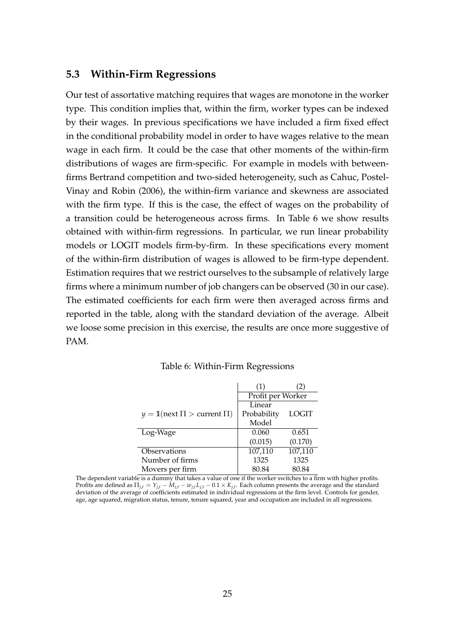#### **5.3 Within-Firm Regressions**

Our test of assortative matching requires that wages are monotone in the worker type. This condition implies that, within the firm, worker types can be indexed by their wages. In previous specifications we have included a firm fixed effect in the conditional probability model in order to have wages relative to the mean wage in each firm. It could be the case that other moments of the within-firm distributions of wages are firm-specific. For example in models with betweenfirms Bertrand competition and two-sided heterogeneity, such as Cahuc, Postel-Vinay and Robin (2006), the within-firm variance and skewness are associated with the firm type. If this is the case, the effect of wages on the probability of a transition could be heterogeneous across firms. In Table 6 we show results obtained with within-firm regressions. In particular, we run linear probability models or LOGIT models firm-by-firm. In these specifications every moment of the within-firm distribution of wages is allowed to be firm-type dependent. Estimation requires that we restrict ourselves to the subsample of relatively large firms where a minimum number of job changers can be observed (30 in our case). The estimated coefficients for each firm were then averaged across firms and reported in the table, along with the standard deviation of the average. Albeit we loose some precision in this exercise, the results are once more suggestive of PAM.

|                                       | (1)               | (2)     |  |
|---------------------------------------|-------------------|---------|--|
|                                       | Profit per Worker |         |  |
|                                       | Linear            |         |  |
| $y = 1$ (next $\Pi >$ current $\Pi$ ) | Probability       | LOGIT   |  |
|                                       | Model             |         |  |
| Log-Wage                              | 0.060             | 0.651   |  |
|                                       | (0.015)           | (0.170) |  |
| Observations                          | 107,110           | 107,110 |  |
| Number of firms                       | 1325              | 1325    |  |
| Movers per firm                       | 80.84             | 80.84   |  |

| Table 6: Within-Firm Regressions |  |
|----------------------------------|--|
|----------------------------------|--|

The dependent variable is a dummy that takes a value of one if the worker switches to a firm with higher profits. Profits are defined as  $\Pi_{j,t} = Y_{j,t} - M_{j,t} - w_{j,t}L_{j,t} - 0.1 \times K_{j,t}$ . Each column presents the average and the standard deviation of the average of coefficients estimated in individual regressions at the firm level. Controls for gender, age, age squared, migration status, tenure, tenure squared, year and occupation are included in all regressions.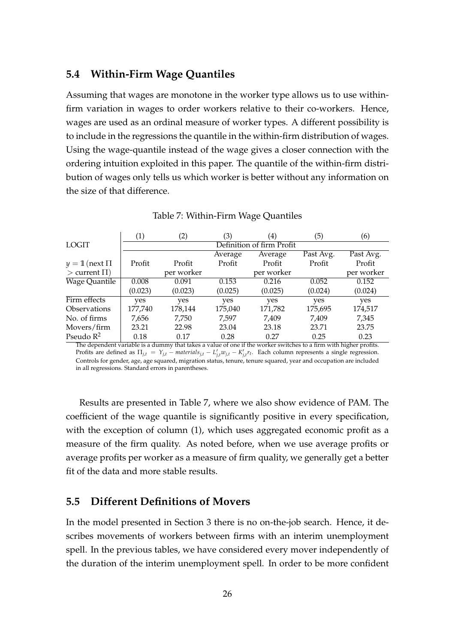#### **5.4 Within-Firm Wage Quantiles**

Assuming that wages are monotone in the worker type allows us to use withinfirm variation in wages to order workers relative to their co-workers. Hence, wages are used as an ordinal measure of worker types. A different possibility is to include in the regressions the quantile in the within-firm distribution of wages. Using the wage-quantile instead of the wage gives a closer connection with the ordering intuition exploited in this paper. The quantile of the within-firm distribution of wages only tells us which worker is better without any information on the size of that difference.

|                     | (1)     | (2)                       | (3)     | $\left( 4\right)$ | (5)       | (6)        |  |
|---------------------|---------|---------------------------|---------|-------------------|-----------|------------|--|
| <b>LOGIT</b>        |         | Definition of firm Profit |         |                   |           |            |  |
|                     |         |                           | Average | Average           | Past Avg. | Past Avg.  |  |
| $y = 1$ (next $\Pi$ | Profit  | Profit                    | Profit  | Profit            | Profit    | Profit     |  |
| $>$ current $\Pi$ ) |         | per worker                |         | per worker        |           | per worker |  |
| Wage Quantile       | 0.008   | 0.091                     | 0.153   | 0.216             | 0.052     | 0.152      |  |
|                     | (0.023) | (0.023)                   | (0.025) | (0.025)           | (0.024)   | (0.024)    |  |
| Firm effects        | yes     | yes                       | yes     | yes               | yes       | yes        |  |
| <b>Observations</b> | 177,740 | 178,144                   | 175,040 | 171,782           | 175,695   | 174,517    |  |
| No. of firms        | 7,656   | 7,750                     | 7,597   | 7,409             | 7,409     | 7,345      |  |
| Movers/firm         | 23.21   | 22.98                     | 23.04   | 23.18             | 23.71     | 23.75      |  |
| Pseudo $R^2$        | 0.18    | 0.17                      | 0.28    | 0.27              | 0.25      | 0.23       |  |

#### Table 7: Within-Firm Wage Quantiles

The dependent variable is a dummy that takes a value of one if the worker switches to a firm with higher profits. Profits are defined as  $\Pi_{j,t} = Y_{j,t} - \text{materials}_{j,t} - L'_{j,t} w_{j,t} - K'_{j,t} r_t$ . Each column represents a single regression. Controls for gender, age, age squared, migration status, tenure, tenure squared, year and occupation are included in all regressions. Standard errors in parentheses.

Results are presented in Table 7, where we also show evidence of PAM. The coefficient of the wage quantile is significantly positive in every specification, with the exception of column (1), which uses aggregated economic profit as a measure of the firm quality. As noted before, when we use average profits or average profits per worker as a measure of firm quality, we generally get a better fit of the data and more stable results.

#### **5.5 Different Definitions of Movers**

In the model presented in Section 3 there is no on-the-job search. Hence, it describes movements of workers between firms with an interim unemployment spell. In the previous tables, we have considered every mover independently of the duration of the interim unemployment spell. In order to be more confident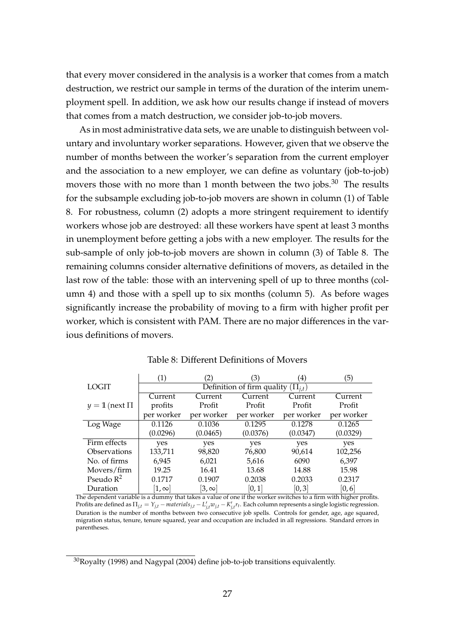that every mover considered in the analysis is a worker that comes from a match destruction, we restrict our sample in terms of the duration of the interim unemployment spell. In addition, we ask how our results change if instead of movers that comes from a match destruction, we consider job-to-job movers.

As in most administrative data sets, we are unable to distinguish between voluntary and involuntary worker separations. However, given that we observe the number of months between the worker's separation from the current employer and the association to a new employer, we can define as voluntary (job-to-job) movers those with no more than 1 month between the two jobs.<sup>30</sup> The results for the subsample excluding job-to-job movers are shown in column (1) of Table 8. For robustness, column (2) adopts a more stringent requirement to identify workers whose job are destroyed: all these workers have spent at least 3 months in unemployment before getting a jobs with a new employer. The results for the sub-sample of only job-to-job movers are shown in column (3) of Table 8. The remaining columns consider alternative definitions of movers, as detailed in the last row of the table: those with an intervening spell of up to three months (column 4) and those with a spell up to six months (column 5). As before wages significantly increase the probability of moving to a firm with higher profit per worker, which is consistent with PAM. There are no major differences in the various definitions of movers.

|                            | $\left( 1\right)$                        | (2)          | (3)        | $\left( 4\right)$ | (5)        |  |  |
|----------------------------|------------------------------------------|--------------|------------|-------------------|------------|--|--|
| LOGIT                      | Definition of firm quality $(\Pi_{i,t})$ |              |            |                   |            |  |  |
|                            | Current                                  | Current      | Current    | Current           | Current    |  |  |
| $y = 1$ (next $\Pi$        | profits                                  | Profit       | Profit     | Profit            | Profit     |  |  |
|                            | per worker                               | per worker   | per worker | per worker        | per worker |  |  |
| Log Wage                   | 0.1126                                   | 0.1036       | 0.1295     | 0.1278            | 0.1265     |  |  |
|                            | (0.0296)                                 | (0.0465)     | (0.0376)   | (0.0347)          | (0.0329)   |  |  |
| Firm effects               | yes                                      | yes          | yes        | yes               | yes        |  |  |
| <i><b>Observations</b></i> | 133,711                                  | 98,820       | 76,800     | 90,614            | 102,256    |  |  |
| No. of firms               | 6,945                                    | 6,021        | 5,616      | 6090              | 6,397      |  |  |
| Movers/firm                | 19.25                                    | 16.41        | 13.68      | 14.88             | 15.98      |  |  |
| Pseudo $R^2$               | 0.1717                                   | 0.1907       | 0.2038     | 0.2033            | 0.2317     |  |  |
| Duration                   | $ 1,\infty $                             | $[3,\infty]$ | [0,1]      | [0,3]             | [0,6]      |  |  |

Table 8: Different Definitions of Movers

The dependent variable is a dummy that takes a value of one if the worker switches to a firm with higher profits. Profits are defined as  $\Pi_{j,t} = Y_{j,t}$  – materials  $_{j,t} - L'_{j,t} w_{j,t} - K'_{j,t} r_t$ . Each column represents a single logistic regression. Duration is the number of months between two consecutive job spells. Controls for gender, age, age squared, migration status, tenure, tenure squared, year and occupation are included in all regressions. Standard errors in parentheses.

 $30R$ oyalty (1998) and Nagypal (2004) define job-to-job transitions equivalently.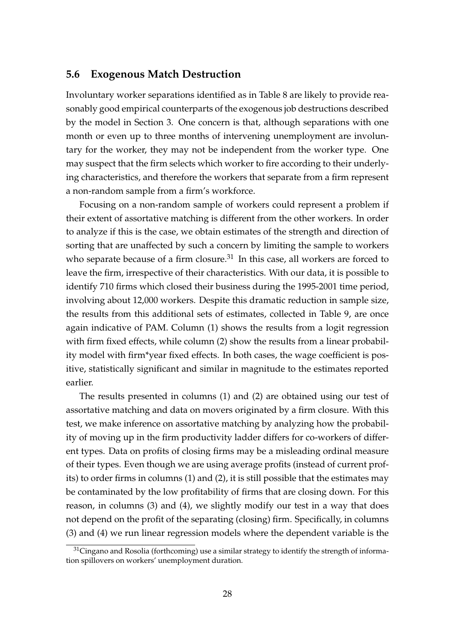#### **5.6 Exogenous Match Destruction**

Involuntary worker separations identified as in Table 8 are likely to provide reasonably good empirical counterparts of the exogenous job destructions described by the model in Section 3. One concern is that, although separations with one month or even up to three months of intervening unemployment are involuntary for the worker, they may not be independent from the worker type. One may suspect that the firm selects which worker to fire according to their underlying characteristics, and therefore the workers that separate from a firm represent a non-random sample from a firm's workforce.

Focusing on a non-random sample of workers could represent a problem if their extent of assortative matching is different from the other workers. In order to analyze if this is the case, we obtain estimates of the strength and direction of sorting that are unaffected by such a concern by limiting the sample to workers who separate because of a firm closure.<sup>31</sup> In this case, all workers are forced to leave the firm, irrespective of their characteristics. With our data, it is possible to identify 710 firms which closed their business during the 1995-2001 time period, involving about 12,000 workers. Despite this dramatic reduction in sample size, the results from this additional sets of estimates, collected in Table 9, are once again indicative of PAM. Column (1) shows the results from a logit regression with firm fixed effects, while column (2) show the results from a linear probability model with firm\*year fixed effects. In both cases, the wage coefficient is positive, statistically significant and similar in magnitude to the estimates reported earlier.

The results presented in columns (1) and (2) are obtained using our test of assortative matching and data on movers originated by a firm closure. With this test, we make inference on assortative matching by analyzing how the probability of moving up in the firm productivity ladder differs for co-workers of different types. Data on profits of closing firms may be a misleading ordinal measure of their types. Even though we are using average profits (instead of current profits) to order firms in columns (1) and (2), it is still possible that the estimates may be contaminated by the low profitability of firms that are closing down. For this reason, in columns (3) and (4), we slightly modify our test in a way that does not depend on the profit of the separating (closing) firm. Specifically, in columns (3) and (4) we run linear regression models where the dependent variable is the

 $31$ Cingano and Rosolia (forthcoming) use a similar strategy to identify the strength of information spillovers on workers' unemployment duration.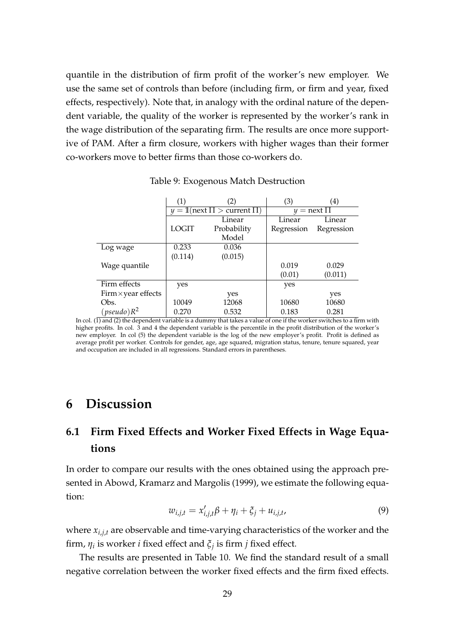quantile in the distribution of firm profit of the worker's new employer. We use the same set of controls than before (including firm, or firm and year, fixed effects, respectively). Note that, in analogy with the ordinal nature of the dependent variable, the quality of the worker is represented by the worker's rank in the wage distribution of the separating firm. The results are once more supportive of PAM. After a firm closure, workers with higher wages than their former co-workers move to better firms than those co-workers do.

|                            | (1)          | (2)                                   | (3)        | $\left( 4\right)$ |
|----------------------------|--------------|---------------------------------------|------------|-------------------|
|                            |              | $y = 1$ (next $\Pi >$ current $\Pi$ ) |            | $y =$ next $\Pi$  |
|                            |              | Linear                                | Linear     | <b>Linear</b>     |
|                            | <b>LOGIT</b> | Probability                           | Regression | Regression        |
|                            |              | Model                                 |            |                   |
| Log wage                   | 0.233        | 0.036                                 |            |                   |
|                            | (0.114)      | (0.015)                               |            |                   |
| Wage quantile              |              |                                       | 0.019      | 0.029             |
|                            |              |                                       | (0.01)     | (0.011)           |
| Firm effects               | yes          |                                       | yes        |                   |
| $Firm \times year$ effects |              | yes                                   |            | yes               |
| Obs.                       | 10049        | 12068                                 | 10680      | 10680             |
| $(pseudo)R^2$              | 0.270        | 0.532                                 | 0.183      | 0.281             |

Table 9: Exogenous Match Destruction

## **6 Discussion**

# **6.1 Firm Fixed Effects and Worker Fixed Effects in Wage Equations**

In order to compare our results with the ones obtained using the approach presented in Abowd, Kramarz and Margolis (1999), we estimate the following equation:

$$
w_{i,j,t} = x'_{i,j,t}\beta + \eta_i + \xi_j + u_{i,j,t},
$$
\n(9)

where  $x_{i,i,t}$  are observable and time-varying characteristics of the worker and the firm, *η<sup>i</sup>* is worker *i* fixed effect and *ξ<sup>j</sup>* is firm *j* fixed effect.

The results are presented in Table 10. We find the standard result of a small negative correlation between the worker fixed effects and the firm fixed effects.

In col. (1) and (2) the dependent variable is a dummy that takes a value of one if the worker switches to a firm with higher profits. In col. 3 and 4 the dependent variable is the percentile in the profit distribution of the worker's new employer. In col (5) the dependent variable is the log of the new employer's profit. Profit is defined as average profit per worker. Controls for gender, age, age squared, migration status, tenure, tenure squared, year and occupation are included in all regressions. Standard errors in parentheses.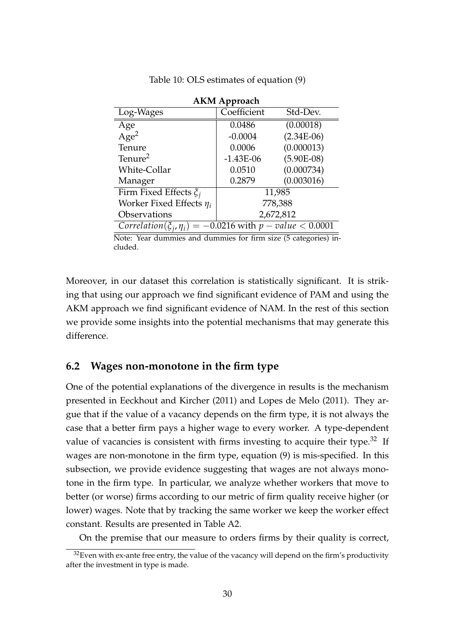| <b>AKM Approach</b>                                                 |             |              |  |  |  |
|---------------------------------------------------------------------|-------------|--------------|--|--|--|
| Log-Wages                                                           | Coefficient | Std-Dev.     |  |  |  |
| Age                                                                 | 0.0486      | (0.00018)    |  |  |  |
| Age <sup>2</sup>                                                    | $-0.0004$   | $(2.34E-06)$ |  |  |  |
| Tenure                                                              | 0.0006      | (0.000013)   |  |  |  |
| Tenure <sup>2</sup>                                                 | $-1.43E-06$ | $(5.90E-08)$ |  |  |  |
| White-Collar                                                        | 0.0510      | (0.000734)   |  |  |  |
| Manager                                                             | 0.2879      | (0.003016)   |  |  |  |
| Firm Fixed Effects $\xi_i$                                          |             | 11,985       |  |  |  |
| Worker Fixed Effects $\eta_i$                                       | 778,388     |              |  |  |  |
| Observations                                                        | 2,672,812   |              |  |  |  |
| Correlation( $\xi_i$ , $\eta_i$ ) = -0.0216 with p - value < 0.0001 |             |              |  |  |  |

Table 10: OLS estimates of equation (9)

Note: Year dummies and dummies for firm size (5 categories) included.

Moreover, in our dataset this correlation is statistically significant. It is striking that using our approach we find significant evidence of PAM and using the AKM approach we find significant evidence of NAM. In the rest of this section we provide some insights into the potential mechanisms that may generate this difference.

#### **6.2 Wages non-monotone in the firm type**

One of the potential explanations of the divergence in results is the mechanism presented in Eeckhout and Kircher (2011) and Lopes de Melo (2011). They argue that if the value of a vacancy depends on the firm type, it is not always the case that a better firm pays a higher wage to every worker. A type-dependent value of vacancies is consistent with firms investing to acquire their type.<sup>32</sup> If wages are non-monotone in the firm type, equation (9) is mis-specified. In this subsection, we provide evidence suggesting that wages are not always monotone in the firm type. In particular, we analyze whether workers that move to better (or worse) firms according to our metric of firm quality receive higher (or lower) wages. Note that by tracking the same worker we keep the worker effect constant. Results are presented in Table A2.

On the premise that our measure to orders firms by their quality is correct,

 $32$  Even with ex-ante free entry, the value of the vacancy will depend on the firm's productivity after the investment in type is made.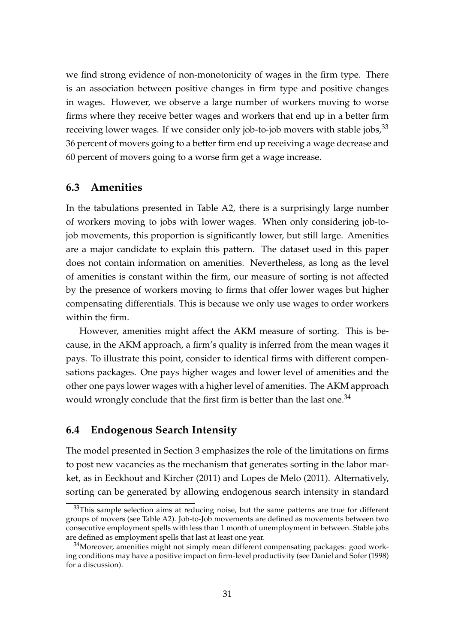we find strong evidence of non-monotonicity of wages in the firm type. There is an association between positive changes in firm type and positive changes in wages. However, we observe a large number of workers moving to worse firms where they receive better wages and workers that end up in a better firm receiving lower wages. If we consider only job-to-job movers with stable jobs,<sup>33</sup> 36 percent of movers going to a better firm end up receiving a wage decrease and 60 percent of movers going to a worse firm get a wage increase.

#### **6.3 Amenities**

In the tabulations presented in Table A2, there is a surprisingly large number of workers moving to jobs with lower wages. When only considering job-tojob movements, this proportion is significantly lower, but still large. Amenities are a major candidate to explain this pattern. The dataset used in this paper does not contain information on amenities. Nevertheless, as long as the level of amenities is constant within the firm, our measure of sorting is not affected by the presence of workers moving to firms that offer lower wages but higher compensating differentials. This is because we only use wages to order workers within the firm.

However, amenities might affect the AKM measure of sorting. This is because, in the AKM approach, a firm's quality is inferred from the mean wages it pays. To illustrate this point, consider to identical firms with different compensations packages. One pays higher wages and lower level of amenities and the other one pays lower wages with a higher level of amenities. The AKM approach would wrongly conclude that the first firm is better than the last one.<sup>34</sup>

#### **6.4 Endogenous Search Intensity**

The model presented in Section 3 emphasizes the role of the limitations on firms to post new vacancies as the mechanism that generates sorting in the labor market, as in Eeckhout and Kircher (2011) and Lopes de Melo (2011). Alternatively, sorting can be generated by allowing endogenous search intensity in standard

 $33$ This sample selection aims at reducing noise, but the same patterns are true for different groups of movers (see Table A2). Job-to-Job movements are defined as movements between two consecutive employment spells with less than 1 month of unemployment in between. Stable jobs are defined as employment spells that last at least one year.

 $34$ Moreover, amenities might not simply mean different compensating packages: good working conditions may have a positive impact on firm-level productivity (see Daniel and Sofer (1998) for a discussion).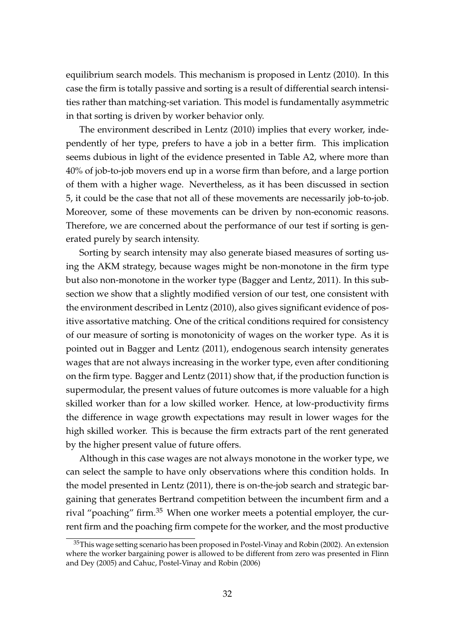equilibrium search models. This mechanism is proposed in Lentz (2010). In this case the firm is totally passive and sorting is a result of differential search intensities rather than matching-set variation. This model is fundamentally asymmetric in that sorting is driven by worker behavior only.

The environment described in Lentz (2010) implies that every worker, independently of her type, prefers to have a job in a better firm. This implication seems dubious in light of the evidence presented in Table A2, where more than 40% of job-to-job movers end up in a worse firm than before, and a large portion of them with a higher wage. Nevertheless, as it has been discussed in section 5, it could be the case that not all of these movements are necessarily job-to-job. Moreover, some of these movements can be driven by non-economic reasons. Therefore, we are concerned about the performance of our test if sorting is generated purely by search intensity.

Sorting by search intensity may also generate biased measures of sorting using the AKM strategy, because wages might be non-monotone in the firm type but also non-monotone in the worker type (Bagger and Lentz, 2011). In this subsection we show that a slightly modified version of our test, one consistent with the environment described in Lentz (2010), also gives significant evidence of positive assortative matching. One of the critical conditions required for consistency of our measure of sorting is monotonicity of wages on the worker type. As it is pointed out in Bagger and Lentz (2011), endogenous search intensity generates wages that are not always increasing in the worker type, even after conditioning on the firm type. Bagger and Lentz (2011) show that, if the production function is supermodular, the present values of future outcomes is more valuable for a high skilled worker than for a low skilled worker. Hence, at low-productivity firms the difference in wage growth expectations may result in lower wages for the high skilled worker. This is because the firm extracts part of the rent generated by the higher present value of future offers.

Although in this case wages are not always monotone in the worker type, we can select the sample to have only observations where this condition holds. In the model presented in Lentz (2011), there is on-the-job search and strategic bargaining that generates Bertrand competition between the incumbent firm and a rival "poaching" firm.<sup>35</sup> When one worker meets a potential employer, the current firm and the poaching firm compete for the worker, and the most productive

<sup>&</sup>lt;sup>35</sup>This wage setting scenario has been proposed in Postel-Vinay and Robin (2002). An extension where the worker bargaining power is allowed to be different from zero was presented in Flinn and Dey (2005) and Cahuc, Postel-Vinay and Robin (2006)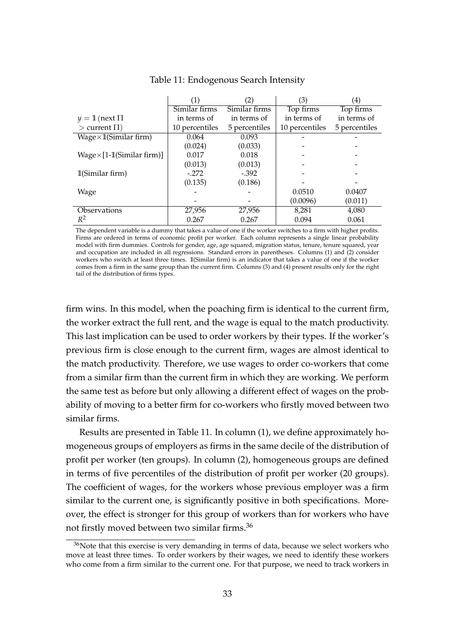|                                   |                | (2)           | (3)            | (4)           |
|-----------------------------------|----------------|---------------|----------------|---------------|
|                                   | Similar firms  | Similar firms | Top firms      | Top firms     |
| $y = 1$ (next $\Pi$               | in terms of    | in terms of   | in terms of    | in terms of   |
| $>$ current $\Pi$ )               | 10 percentiles | 5 percentiles | 10 percentiles | 5 percentiles |
| $Wage \times 1$ (Similar firm)    | 0.064          | 0.093         |                |               |
|                                   | (0.024)        | (0.033)       |                |               |
| $Wage \times [1-1(Similar firm)]$ | 0.017          | 0.018         |                |               |
|                                   | (0.013)        | (0.013)       |                |               |
| 1(Similar firm)                   | $-.272$        | $-.392$       |                |               |
|                                   | (0.135)        | (0.186)       |                |               |
| Wage                              |                |               | 0.0510         | 0.0407        |
|                                   |                |               | (0.0096)       | (0.011)       |
| Observations                      | 27,956         | 27,956        | 8,281          | 4,080         |
| $R^2$                             | 0.267          | 0.267         | 0.094          | 0.061         |

Table 11: Endogenous Search Intensity

The dependent variable is a dummy that takes a value of one if the worker switches to a firm with higher profits. Firms are ordered in terms of economic profit per worker. Each column represents a single linear probability model with firm dummies. Controls for gender, age, age squared, migration status, tenure, tenure squared, year and occupation are included in all regressions. Standard errors in parentheses. Columns (1) and (2) consider workers who switch at least three times. **1**(Similar firm) is an indicator that takes a value of one if the worker comes from a firm in the same group than the current firm. Columns (3) and (4) present results only for the right tail of the distribution of firms types.

firm wins. In this model, when the poaching firm is identical to the current firm, the worker extract the full rent, and the wage is equal to the match productivity. This last implication can be used to order workers by their types. If the worker's previous firm is close enough to the current firm, wages are almost identical to the match productivity. Therefore, we use wages to order co-workers that come from a similar firm than the current firm in which they are working. We perform the same test as before but only allowing a different effect of wages on the probability of moving to a better firm for co-workers who firstly moved between two similar firms.

Results are presented in Table 11. In column (1), we define approximately homogeneous groups of employers as firms in the same decile of the distribution of profit per worker (ten groups). In column (2), homogeneous groups are defined in terms of five percentiles of the distribution of profit per worker (20 groups). The coefficient of wages, for the workers whose previous employer was a firm similar to the current one, is significantly positive in both specifications. Moreover, the effect is stronger for this group of workers than for workers who have not firstly moved between two similar firms.<sup>36</sup>

<sup>&</sup>lt;sup>36</sup>Note that this exercise is very demanding in terms of data, because we select workers who move at least three times. To order workers by their wages, we need to identify these workers who come from a firm similar to the current one. For that purpose, we need to track workers in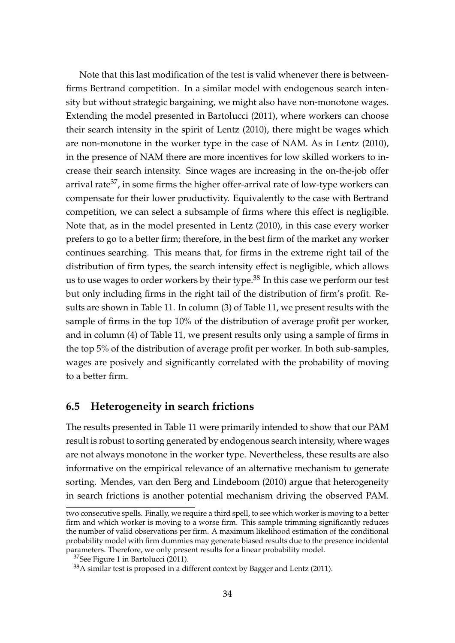Note that this last modification of the test is valid whenever there is betweenfirms Bertrand competition. In a similar model with endogenous search intensity but without strategic bargaining, we might also have non-monotone wages. Extending the model presented in Bartolucci (2011), where workers can choose their search intensity in the spirit of Lentz (2010), there might be wages which are non-monotone in the worker type in the case of NAM. As in Lentz (2010), in the presence of NAM there are more incentives for low skilled workers to increase their search intensity. Since wages are increasing in the on-the-job offer arrival rate<sup>37</sup>, in some firms the higher offer-arrival rate of low-type workers can compensate for their lower productivity. Equivalently to the case with Bertrand competition, we can select a subsample of firms where this effect is negligible. Note that, as in the model presented in Lentz (2010), in this case every worker prefers to go to a better firm; therefore, in the best firm of the market any worker continues searching. This means that, for firms in the extreme right tail of the distribution of firm types, the search intensity effect is negligible, which allows us to use wages to order workers by their type.<sup>38</sup> In this case we perform our test but only including firms in the right tail of the distribution of firm's profit. Results are shown in Table 11. In column (3) of Table 11, we present results with the sample of firms in the top 10% of the distribution of average profit per worker, and in column (4) of Table 11, we present results only using a sample of firms in the top 5% of the distribution of average profit per worker. In both sub-samples, wages are posively and significantly correlated with the probability of moving to a better firm.

#### **6.5 Heterogeneity in search frictions**

The results presented in Table 11 were primarily intended to show that our PAM result is robust to sorting generated by endogenous search intensity, where wages are not always monotone in the worker type. Nevertheless, these results are also informative on the empirical relevance of an alternative mechanism to generate sorting. Mendes, van den Berg and Lindeboom (2010) argue that heterogeneity in search frictions is another potential mechanism driving the observed PAM.

two consecutive spells. Finally, we require a third spell, to see which worker is moving to a better firm and which worker is moving to a worse firm. This sample trimming significantly reduces the number of valid observations per firm. A maximum likelihood estimation of the conditional probability model with firm dummies may generate biased results due to the presence incidental parameters. Therefore, we only present results for a linear probability model.

<sup>37</sup>See Figure 1 in Bartolucci (2011).

<sup>38</sup>A similar test is proposed in a different context by Bagger and Lentz (2011).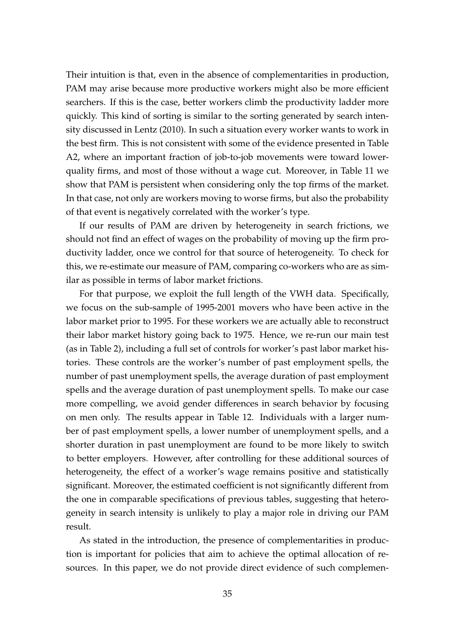Their intuition is that, even in the absence of complementarities in production, PAM may arise because more productive workers might also be more efficient searchers. If this is the case, better workers climb the productivity ladder more quickly. This kind of sorting is similar to the sorting generated by search intensity discussed in Lentz (2010). In such a situation every worker wants to work in the best firm. This is not consistent with some of the evidence presented in Table A2, where an important fraction of job-to-job movements were toward lowerquality firms, and most of those without a wage cut. Moreover, in Table 11 we show that PAM is persistent when considering only the top firms of the market. In that case, not only are workers moving to worse firms, but also the probability of that event is negatively correlated with the worker's type.

If our results of PAM are driven by heterogeneity in search frictions, we should not find an effect of wages on the probability of moving up the firm productivity ladder, once we control for that source of heterogeneity. To check for this, we re-estimate our measure of PAM, comparing co-workers who are as similar as possible in terms of labor market frictions.

For that purpose, we exploit the full length of the VWH data. Specifically, we focus on the sub-sample of 1995-2001 movers who have been active in the labor market prior to 1995. For these workers we are actually able to reconstruct their labor market history going back to 1975. Hence, we re-run our main test (as in Table 2), including a full set of controls for worker's past labor market histories. These controls are the worker's number of past employment spells, the number of past unemployment spells, the average duration of past employment spells and the average duration of past unemployment spells. To make our case more compelling, we avoid gender differences in search behavior by focusing on men only. The results appear in Table 12. Individuals with a larger number of past employment spells, a lower number of unemployment spells, and a shorter duration in past unemployment are found to be more likely to switch to better employers. However, after controlling for these additional sources of heterogeneity, the effect of a worker's wage remains positive and statistically significant. Moreover, the estimated coefficient is not significantly different from the one in comparable specifications of previous tables, suggesting that heterogeneity in search intensity is unlikely to play a major role in driving our PAM result.

As stated in the introduction, the presence of complementarities in production is important for policies that aim to achieve the optimal allocation of resources. In this paper, we do not provide direct evidence of such complemen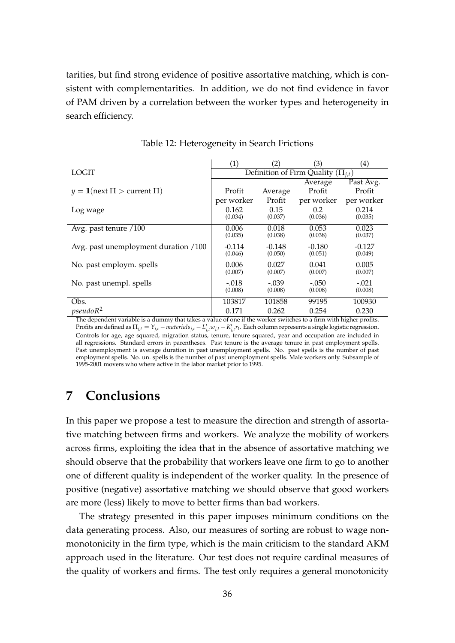tarities, but find strong evidence of positive assortative matching, which is consistent with complementarities. In addition, we do not find evidence in favor of PAM driven by a correlation between the worker types and heterogeneity in search efficiency.

|                                       | (1)        | (2)      | (3)                                      | $\left( 4\right)$ |
|---------------------------------------|------------|----------|------------------------------------------|-------------------|
| <b>LOGIT</b>                          |            |          | Definition of Firm Quality $(\Pi_{i,t})$ |                   |
|                                       |            |          | Average                                  | Past Avg.         |
| $y = 1$ (next $\Pi >$ current $\Pi$ ) | Profit     | Average  | Profit                                   | Profit            |
|                                       | per worker | Profit   | per worker                               | per worker        |
| Log wage                              | 0.162      | 0.15     | 0.2                                      | 0.214             |
|                                       | (0.034)    | (0.037)  | (0.036)                                  | (0.035)           |
| Avg. past tenure /100                 | 0.006      | 0.018    | 0.053                                    | 0.023             |
|                                       | (0.035)    | (0.038)  | (0.038)                                  | (0.037)           |
| Avg. past unemployment duration /100  | $-0.114$   | $-0.148$ | $-0.180$                                 | $-0.127$          |
|                                       | (0.046)    | (0.050)  | (0.051)                                  | (0.049)           |
| No. past employm. spells              | 0.006      | 0.027    | 0.041                                    | 0.005             |
|                                       | (0.007)    | (0.007)  | (0.007)                                  | (0.007)           |
| No. past unempl. spells               | $-.018$    | $-.039$  | $-.050$                                  | $-.021$           |
|                                       | (0.008)    | (0.008)  | (0.008)                                  | (0.008)           |
| Obs.                                  | 103817     | 101858   | 99195                                    | 100930            |
| pseudoR <sup>2</sup>                  | 0.171      | 0.262    | 0.254                                    | 0.230             |

Table 12: Heterogeneity in Search Frictions

The dependent variable is a dummy that takes a value of one if the worker switches to a firm with higher profits. Profits are defined as  $\Pi_{j,t} = Y_{j,t} - materials_{j,t} - L'_{j,t}w_{j,t} - K'_{j,t}r_t$ . Each column represents a single logistic regression. Controls for age, age squared, migration status, tenure, tenure squared, year and occupation are included in all regressions. Standard errors in parentheses. Past tenure is the average tenure in past employment spells. Past unemployment is average duration in past unemployment spells. No. past spells is the number of past employment spells. No. un. spells is the number of past unemployment spells. Male workers only. Subsample of 1995-2001 movers who where active in the labor market prior to 1995.

# **7 Conclusions**

In this paper we propose a test to measure the direction and strength of assortative matching between firms and workers. We analyze the mobility of workers across firms, exploiting the idea that in the absence of assortative matching we should observe that the probability that workers leave one firm to go to another one of different quality is independent of the worker quality. In the presence of positive (negative) assortative matching we should observe that good workers are more (less) likely to move to better firms than bad workers.

The strategy presented in this paper imposes minimum conditions on the data generating process. Also, our measures of sorting are robust to wage nonmonotonicity in the firm type, which is the main criticism to the standard AKM approach used in the literature. Our test does not require cardinal measures of the quality of workers and firms. The test only requires a general monotonicity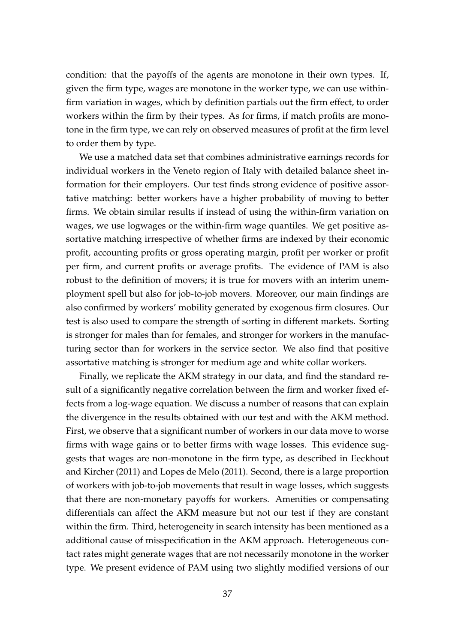condition: that the payoffs of the agents are monotone in their own types. If, given the firm type, wages are monotone in the worker type, we can use withinfirm variation in wages, which by definition partials out the firm effect, to order workers within the firm by their types. As for firms, if match profits are monotone in the firm type, we can rely on observed measures of profit at the firm level to order them by type.

We use a matched data set that combines administrative earnings records for individual workers in the Veneto region of Italy with detailed balance sheet information for their employers. Our test finds strong evidence of positive assortative matching: better workers have a higher probability of moving to better firms. We obtain similar results if instead of using the within-firm variation on wages, we use logwages or the within-firm wage quantiles. We get positive assortative matching irrespective of whether firms are indexed by their economic profit, accounting profits or gross operating margin, profit per worker or profit per firm, and current profits or average profits. The evidence of PAM is also robust to the definition of movers; it is true for movers with an interim unemployment spell but also for job-to-job movers. Moreover, our main findings are also confirmed by workers' mobility generated by exogenous firm closures. Our test is also used to compare the strength of sorting in different markets. Sorting is stronger for males than for females, and stronger for workers in the manufacturing sector than for workers in the service sector. We also find that positive assortative matching is stronger for medium age and white collar workers.

Finally, we replicate the AKM strategy in our data, and find the standard result of a significantly negative correlation between the firm and worker fixed effects from a log-wage equation. We discuss a number of reasons that can explain the divergence in the results obtained with our test and with the AKM method. First, we observe that a significant number of workers in our data move to worse firms with wage gains or to better firms with wage losses. This evidence suggests that wages are non-monotone in the firm type, as described in Eeckhout and Kircher (2011) and Lopes de Melo (2011). Second, there is a large proportion of workers with job-to-job movements that result in wage losses, which suggests that there are non-monetary payoffs for workers. Amenities or compensating differentials can affect the AKM measure but not our test if they are constant within the firm. Third, heterogeneity in search intensity has been mentioned as a additional cause of misspecification in the AKM approach. Heterogeneous contact rates might generate wages that are not necessarily monotone in the worker type. We present evidence of PAM using two slightly modified versions of our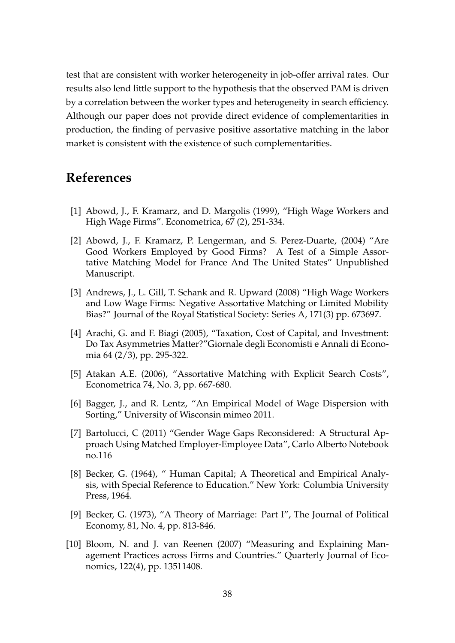test that are consistent with worker heterogeneity in job-offer arrival rates. Our results also lend little support to the hypothesis that the observed PAM is driven by a correlation between the worker types and heterogeneity in search efficiency. Although our paper does not provide direct evidence of complementarities in production, the finding of pervasive positive assortative matching in the labor market is consistent with the existence of such complementarities.

# **References**

- [1] Abowd, J., F. Kramarz, and D. Margolis (1999), "High Wage Workers and High Wage Firms". Econometrica, 67 (2), 251-334.
- [2] Abowd, J., F. Kramarz, P. Lengerman, and S. Perez-Duarte, (2004) "Are Good Workers Employed by Good Firms? A Test of a Simple Assortative Matching Model for France And The United States" Unpublished Manuscript.
- [3] Andrews, J., L. Gill, T. Schank and R. Upward (2008) "High Wage Workers and Low Wage Firms: Negative Assortative Matching or Limited Mobility Bias?" Journal of the Royal Statistical Society: Series A, 171(3) pp. 673697.
- [4] Arachi, G. and F. Biagi (2005), "Taxation, Cost of Capital, and Investment: Do Tax Asymmetries Matter?"Giornale degli Economisti e Annali di Economia 64 (2/3), pp. 295-322.
- [5] Atakan A.E. (2006), "Assortative Matching with Explicit Search Costs", Econometrica 74, No. 3, pp. 667-680.
- [6] Bagger, J., and R. Lentz, "An Empirical Model of Wage Dispersion with Sorting," University of Wisconsin mimeo 2011.
- [7] Bartolucci, C (2011) "Gender Wage Gaps Reconsidered: A Structural Approach Using Matched Employer-Employee Data", Carlo Alberto Notebook no.116
- [8] Becker, G. (1964), " Human Capital; A Theoretical and Empirical Analysis, with Special Reference to Education." New York: Columbia University Press, 1964.
- [9] Becker, G. (1973), "A Theory of Marriage: Part I", The Journal of Political Economy, 81, No. 4, pp. 813-846.
- [10] Bloom, N. and J. van Reenen (2007) "Measuring and Explaining Management Practices across Firms and Countries." Quarterly Journal of Economics, 122(4), pp. 13511408.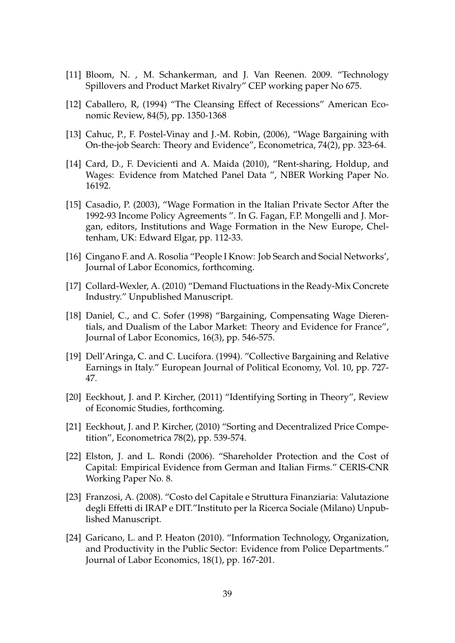- [11] Bloom, N. , M. Schankerman, and J. Van Reenen. 2009. "Technology Spillovers and Product Market Rivalry" CEP working paper No 675.
- [12] Caballero, R, (1994) "The Cleansing Effect of Recessions" American Economic Review, 84(5), pp. 1350-1368
- [13] Cahuc, P., F. Postel-Vinay and J.-M. Robin, (2006), "Wage Bargaining with On-the-job Search: Theory and Evidence", Econometrica, 74(2), pp. 323-64.
- [14] Card, D., F. Devicienti and A. Maida (2010), "Rent-sharing, Holdup, and Wages: Evidence from Matched Panel Data ", NBER Working Paper No. 16192.
- [15] Casadio, P. (2003), "Wage Formation in the Italian Private Sector After the 1992-93 Income Policy Agreements ". In G. Fagan, F.P. Mongelli and J. Morgan, editors, Institutions and Wage Formation in the New Europe, Cheltenham, UK: Edward Elgar, pp. 112-33.
- [16] Cingano F. and A. Rosolia "People I Know: Job Search and Social Networks', Journal of Labor Economics, forthcoming.
- [17] Collard-Wexler, A. (2010) "Demand Fluctuations in the Ready-Mix Concrete Industry." Unpublished Manuscript.
- [18] Daniel, C., and C. Sofer (1998) "Bargaining, Compensating Wage Dierentials, and Dualism of the Labor Market: Theory and Evidence for France", Journal of Labor Economics, 16(3), pp. 546-575.
- [19] Dell'Aringa, C. and C. Lucifora. (1994). "Collective Bargaining and Relative Earnings in Italy." European Journal of Political Economy, Vol. 10, pp. 727- 47.
- [20] Eeckhout, J. and P. Kircher, (2011) "Identifying Sorting in Theory", Review of Economic Studies, forthcoming.
- [21] Eeckhout, J. and P. Kircher, (2010) "Sorting and Decentralized Price Competition", Econometrica 78(2), pp. 539-574.
- [22] Elston, J. and L. Rondi (2006). "Shareholder Protection and the Cost of Capital: Empirical Evidence from German and Italian Firms." CERIS-CNR Working Paper No. 8.
- [23] Franzosi, A. (2008). "Costo del Capitale e Struttura Finanziaria: Valutazione degli Effetti di IRAP e DIT."Instituto per la Ricerca Sociale (Milano) Unpublished Manuscript.
- [24] Garicano, L. and P. Heaton (2010). "Information Technology, Organization, and Productivity in the Public Sector: Evidence from Police Departments." Journal of Labor Economics, 18(1), pp. 167-201.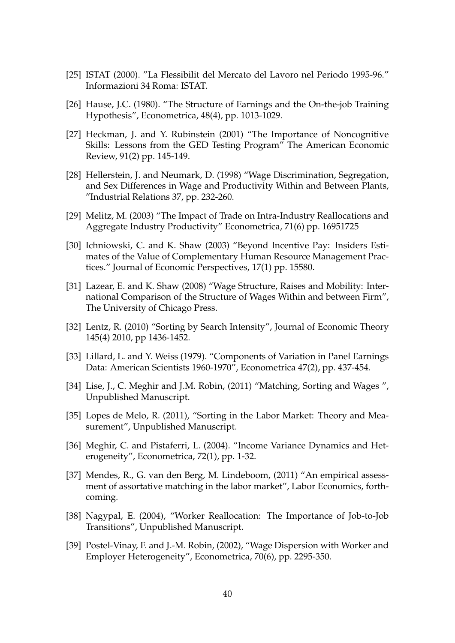- [25] ISTAT (2000). "La Flessibilit del Mercato del Lavoro nel Periodo 1995-96." Informazioni 34 Roma: ISTAT.
- [26] Hause, J.C. (1980). "The Structure of Earnings and the On-the-job Training Hypothesis", Econometrica, 48(4), pp. 1013-1029.
- [27] Heckman, J. and Y. Rubinstein (2001) "The Importance of Noncognitive Skills: Lessons from the GED Testing Program" The American Economic Review, 91(2) pp. 145-149.
- [28] Hellerstein, J. and Neumark, D. (1998) "Wage Discrimination, Segregation, and Sex Differences in Wage and Productivity Within and Between Plants, "Industrial Relations 37, pp. 232-260.
- [29] Melitz, M. (2003) "The Impact of Trade on Intra-Industry Reallocations and Aggregate Industry Productivity" Econometrica, 71(6) pp. 16951725
- [30] Ichniowski, C. and K. Shaw (2003) "Beyond Incentive Pay: Insiders Estimates of the Value of Complementary Human Resource Management Practices." Journal of Economic Perspectives, 17(1) pp. 15580.
- [31] Lazear, E. and K. Shaw (2008) "Wage Structure, Raises and Mobility: International Comparison of the Structure of Wages Within and between Firm", The University of Chicago Press.
- [32] Lentz, R. (2010) "Sorting by Search Intensity", Journal of Economic Theory 145(4) 2010, pp 1436-1452.
- [33] Lillard, L. and Y. Weiss (1979). "Components of Variation in Panel Earnings Data: American Scientists 1960-1970", Econometrica 47(2), pp. 437-454.
- [34] Lise, J., C. Meghir and J.M. Robin, (2011) "Matching, Sorting and Wages ", Unpublished Manuscript.
- [35] Lopes de Melo, R. (2011), "Sorting in the Labor Market: Theory and Measurement", Unpublished Manuscript.
- [36] Meghir, C. and Pistaferri, L. (2004). "Income Variance Dynamics and Heterogeneity", Econometrica, 72(1), pp. 1-32.
- [37] Mendes, R., G. van den Berg, M. Lindeboom, (2011) "An empirical assessment of assortative matching in the labor market", Labor Economics, forthcoming.
- [38] Nagypal, E. (2004), "Worker Reallocation: The Importance of Job-to-Job Transitions", Unpublished Manuscript.
- [39] Postel-Vinay, F. and J.-M. Robin, (2002), "Wage Dispersion with Worker and Employer Heterogeneity", Econometrica, 70(6), pp. 2295-350.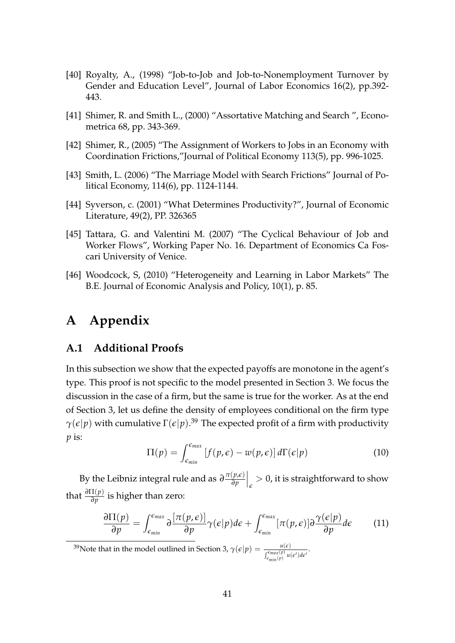- [40] Royalty, A., (1998) "Job-to-Job and Job-to-Nonemployment Turnover by Gender and Education Level", Journal of Labor Economics 16(2), pp.392- 443.
- [41] Shimer, R. and Smith L., (2000) "Assortative Matching and Search ", Econometrica 68, pp. 343-369.
- [42] Shimer, R., (2005) "The Assignment of Workers to Jobs in an Economy with Coordination Frictions,"Journal of Political Economy 113(5), pp. 996-1025.
- [43] Smith, L. (2006) "The Marriage Model with Search Frictions" Journal of Political Economy, 114(6), pp. 1124-1144.
- [44] Syverson, c. (2001) "What Determines Productivity?", Journal of Economic Literature, 49(2), PP. 326365
- [45] Tattara, G. and Valentini M. (2007) "The Cyclical Behaviour of Job and Worker Flows", Working Paper No. 16. Department of Economics Ca Foscari University of Venice.
- [46] Woodcock, S, (2010) "Heterogeneity and Learning in Labor Markets" The B.E. Journal of Economic Analysis and Policy, 10(1), p. 85.

# **A Appendix**

#### **A.1 Additional Proofs**

In this subsection we show that the expected payoffs are monotone in the agent's type. This proof is not specific to the model presented in Section 3. We focus the discussion in the case of a firm, but the same is true for the worker. As at the end of Section 3, let us define the density of employees conditional on the firm type  $\gamma(\epsilon|p)$  with cumulative  $\Gamma(\epsilon|p).^{39}$  The expected profit of a firm with productivity *p* is:

$$
\Pi(p) = \int_{\epsilon_{min}}^{\epsilon_{max}} \left[ f(p, \epsilon) - w(p, \epsilon) \right] d\Gamma(\epsilon | p)
$$
 (10)

By the Leibniz integral rule and as  $\partial \frac{\pi(p,\epsilon)}{\partial p}$ *∂p*  $\int_{\epsilon}$ > 0, it is straightforward to show that *<sup>∂</sup>*Π(*p*) *∂p* is higher than zero:

$$
\frac{\partial \Pi(p)}{\partial p} = \int_{\epsilon_{min}}^{\epsilon_{max}} \partial \frac{[\pi(p,\epsilon)]}{\partial p} \gamma(\epsilon|p) d\epsilon + \int_{\epsilon_{min}}^{\epsilon_{max}} [\pi(p,\epsilon)] \partial \frac{\gamma(\epsilon|p)}{\partial p} d\epsilon \qquad (11)
$$

<sup>39</sup>Note that in the model outlined in Section 3,  $\gamma(\epsilon|p) = \frac{u(\epsilon)}{\int_{\epsilon_{min}(p)}^{\epsilon_{max}(p)} u(\epsilon') d\epsilon'}$ .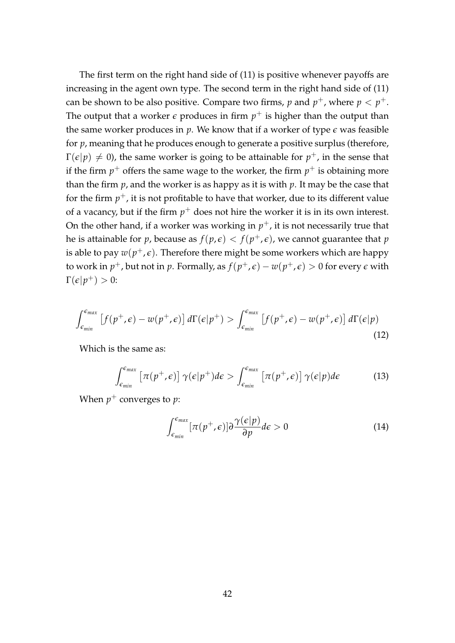The first term on the right hand side of (11) is positive whenever payoffs are increasing in the agent own type. The second term in the right hand side of (11) can be shown to be also positive. Compare two firms, p and  $p^+$ , where  $p < p^+$ . The output that a worker  $\epsilon$  produces in firm  $p^+$  is higher than the output than the same worker produces in  $p$ . We know that if a worker of type  $\epsilon$  was feasible for *p*, meaning that he produces enough to generate a positive surplus (therefore,  $\Gamma(\epsilon|p)\neq 0$ ), the same worker is going to be attainable for  $p^+$ , in the sense that if the firm  $p^+$  offers the same wage to the worker, the firm  $p^+$  is obtaining more than the firm *p*, and the worker is as happy as it is with *p*. It may be the case that for the firm  $p^+$ , it is not profitable to have that worker, due to its different value of a vacancy, but if the firm  $p^+$  does not hire the worker it is in its own interest. On the other hand, if a worker was working in  $p^+$ , it is not necessarily true that he is attainable for  $p$ , because as  $f(p,\epsilon) < f(p^+,\epsilon)$ , we cannot guarantee that  $p$ is able to pay  $w(p^+,\epsilon).$  Therefore there might be some workers which are happy to work in  $p^+$ , but not in  $p.$  Formally, as  $f(p^+,\epsilon)-w(p^+,\epsilon)>0$  for every  $\epsilon$  with  $\Gamma(\epsilon|p^+) > 0$ :

$$
\int_{\epsilon_{min}}^{\epsilon_{max}} \left[ f(p^+, \epsilon) - w(p^+, \epsilon) \right] d\Gamma(\epsilon | p^+) > \int_{\epsilon_{min}}^{\epsilon_{max}} \left[ f(p^+, \epsilon) - w(p^+, \epsilon) \right] d\Gamma(\epsilon | p) \tag{12}
$$

Which is the same as:

$$
\int_{\epsilon_{min}}^{\epsilon_{max}} \left[ \pi(p^+, \epsilon) \right] \gamma(\epsilon | p^+) d\epsilon > \int_{\epsilon_{min}}^{\epsilon_{max}} \left[ \pi(p^+, \epsilon) \right] \gamma(\epsilon | p) d\epsilon \tag{13}
$$

When  $p^+$  converges to  $p$ :

$$
\int_{\epsilon_{min}}^{\epsilon_{max}} [\pi(p^+, \epsilon)] \partial \frac{\gamma(\epsilon|p)}{\partial p} d\epsilon > 0 \tag{14}
$$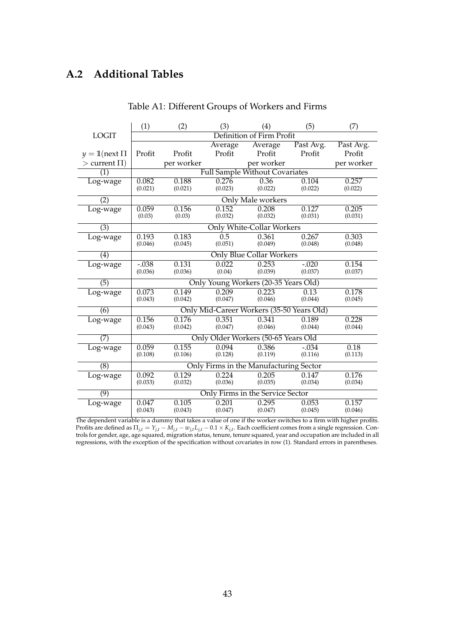# **A.2 Additional Tables**

|                     | (1)                                 | (2)        | (3)     | (4)                                       | (5)       | (7)        |
|---------------------|-------------------------------------|------------|---------|-------------------------------------------|-----------|------------|
| <b>LOGIT</b>        |                                     |            |         | Definition of Firm Profit                 |           |            |
|                     |                                     |            | Average | Average                                   | Past Avg. | Past Avg.  |
| $y = 1$ (next $\Pi$ | Profit                              | Profit     | Profit  | Profit                                    | Profit    | Profit     |
| $>$ current $\Pi$ ) |                                     | per worker |         | per worker                                |           | per worker |
| (1)                 |                                     |            |         | Full Sample Without Covariates            |           |            |
| Log-wage            | 0.082                               | 0.188      | 0.276   | 0.36                                      | 0.104     | 0.257      |
|                     | (0.021)                             | (0.021)    | (0.023) | (0.022)                                   | (0.022)   | (0.022)    |
| (2)                 |                                     |            |         | Only Male workers                         |           |            |
| Log-wage            | 0.059                               | 0.156      | 0.152   | 0.208                                     | 0.127     | 0.205      |
|                     | (0.03)                              | (0.03)     | (0.032) | (0.032)                                   | (0.031)   | (0.031)    |
| (3)                 |                                     |            |         | <b>Only White-Collar Workers</b>          |           |            |
| Log-wage            | 0.193                               | 0.183      | 0.5     | 0.361                                     | 0.267     | 0.303      |
|                     | (0.046)                             | (0.045)    | (0.051) | (0.049)                                   | (0.048)   | (0.048)    |
| (4)                 |                                     |            |         | <b>Only Blue Collar Workers</b>           |           |            |
| Log-wage            | $-0.038$                            | 0.131      | 0.022   | 0.253                                     | $-.020$   | 0.154      |
|                     | (0.036)                             | (0.036)    | (0.04)  | (0.039)                                   | (0.037)   | (0.037)    |
| (5)                 |                                     |            |         | Only Young Workers (20-35 Years Old)      |           |            |
| Log-wage            | 0.073                               | 0.149      | 0.209   | 0.223                                     | 0.13      | 0.178      |
|                     | (0.043)                             | (0.042)    | (0.047) | (0.046)                                   | (0.044)   | (0.045)    |
| (6)                 |                                     |            |         | Only Mid-Career Workers (35-50 Years Old) |           |            |
| Log-wage            | 0.156                               | 0.176      | 0.351   | 0.341                                     | 0.189     | 0.228      |
|                     | (0.043)                             | (0.042)    | (0.047) | (0.046)                                   | (0.044)   | (0.044)    |
| (7)                 | Only Older Workers (50-65 Years Old |            |         |                                           |           |            |
| Log-wage            | 0.059                               | 0.155      | 0.094   | 0.386                                     | $-.034$   | 0.18       |
|                     | (0.108)                             | (0.106)    | (0.128) | (0.119)                                   | (0.116)   | (0.113)    |
| $\overline{(8)}$    |                                     |            |         | Only Firms in the Manufacturing Sector    |           |            |
| Log-wage            | 0.092                               | 0.129      | 0.224   | 0.205                                     | 0.147     | 0.176      |
|                     | (0.033)                             | (0.032)    | (0.036) | (0.035)                                   | (0.034)   | (0.034)    |
| (9)                 |                                     |            |         | Only Firms in the Service Sector          |           |            |
| Log-wage            | 0.047                               | 0.105      | 0.201   | 0.295                                     | 0.053     | 0.157      |
|                     | (0.043)                             | (0.043)    | (0.047) | (0.047)                                   | (0.045)   | (0.046)    |

Table A1: Different Groups of Workers and Firms

The dependent variable is a dummy that takes a value of one if the worker switches to a firm with higher profits. Profits are defined as  $\Pi_{j,t} = Y_{j,t} - M_{j,t} - w_{j,t} L_{j,t} - 0.1 \times K_{j,t}$ . Each coefficient comes from a single regression. Controls for gender, age, age squared, migration status, tenure, tenure squared, year and occupation are included in all regressions, with the exception of the specification without covariates in row (1). Standard errors in parentheses.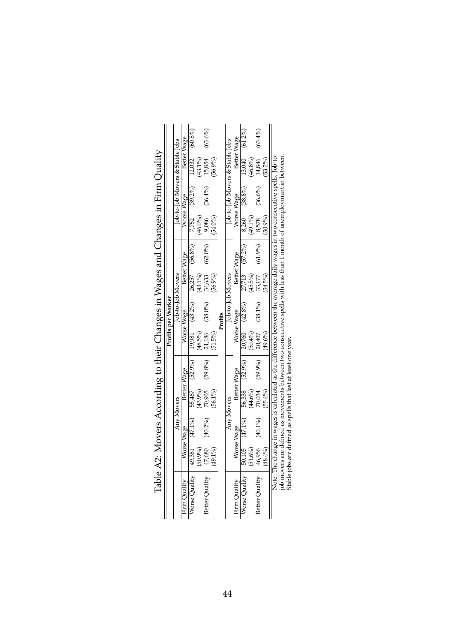|                               |                   |                                                    |                   |                |            | Profits per Worker                                                                                                           |         |                |            |            |                                 |            |
|-------------------------------|-------------------|----------------------------------------------------|-------------------|----------------|------------|------------------------------------------------------------------------------------------------------------------------------|---------|----------------|------------|------------|---------------------------------|------------|
|                               |                   |                                                    | <b>Any Movers</b> |                |            | Job-to-Job Movers                                                                                                            |         |                |            |            | Tob-to-Tob Movers & Stable Jobs |            |
| Firm Quality                  |                   | Worse Wage                                         |                   | Better Wage    |            | Worse Wage                                                                                                                   |         | Better Wage    |            | Worse Wage | Better Wage                     |            |
| Worse Quality                 | 49,381            | $(47.1\%)$                                         |                   | 55,467 (52.9%) | 19,981     | (43.2%)                                                                                                                      | 26,257  | $(56.8\%)$     | 7,752      | $(39.2\%)$ | 12,032                          | $(60.8\%)$ |
|                               | $9\%$             |                                                    | (43.9%)           |                | $(98.5\%)$ |                                                                                                                              | 43.1%   |                | $(46.0\%)$ |            | $(43.1\%)$                      |            |
| Better Quality                | ,680              | $(40.2\%)$                                         | 70,905            | $(59.8\%)$     | 21,186     | $(38.0\%)$                                                                                                                   | 34,633  | $(62.0\%)$     | 9,086      | $(36.4\%)$ | 15,854                          | (63.6%)    |
|                               | $(1\%)$           |                                                    | $(56.1\%)$        |                | (51.5%)    |                                                                                                                              | 56.9%   |                | $(54.0\%)$ |            | $(56.9\%)$                      |            |
|                               |                   |                                                    |                   |                |            | Profits                                                                                                                      |         |                |            |            |                                 |            |
|                               |                   |                                                    | <b>Any Movers</b> |                |            | lob-to-lob Movers                                                                                                            |         |                |            |            | Job-to-Job Movers & Stable Jobs |            |
| Firm Quality                  |                   | Worse Wage                                         |                   | Better Wage    |            | Worse Wage                                                                                                                   |         | Better Wage    |            | Worse Wage | Better Wage                     |            |
| Worse Quality                 | 50,105            | $(47.1\%)$                                         | 56,338            | $(52.9\%)$     |            | 20,760 (42.8%)                                                                                                               |         | 27,713 (57.2%) | 8,260      | $(38.8\%)$ | 13,040                          | $(61.2\%)$ |
|                               | 1.6%              |                                                    | 44.6%             |                | (50.4%     |                                                                                                                              | (45.5%) |                | $(49.1\%)$ |            | (46.8%)                         |            |
| Better Quality                | 46,956<br>(48.4%) | $(40.1\%)$                                         | 70,034            | (59.9%)        | 20,407     | $(38.1\%)$                                                                                                                   | 33,177  | (61.9%         | 8,578      | (36.6%)    | 14,846                          | $(63.4\%)$ |
|                               |                   |                                                    | $(55.4\%)$        |                | $49.6\%$   |                                                                                                                              | 54.5%)  |                | $(9\%)$    |            | 53.2%)                          |            |
|                               |                   |                                                    |                   |                |            | Note: The change in wages is calculated as the difference between the average daily wages in two consecutive spells. Job-to- |         |                |            |            |                                 |            |
| job movers a<br>Stable jobs a |                   |                                                    |                   |                |            | are defined as movements between two consecutive spells with less than 1 month of unemployment in between.                   |         |                |            |            |                                 |            |
|                               |                   | are defined as spells that last at least one year. |                   |                |            |                                                                                                                              |         |                |            |            |                                 |            |

Table A2: Movers According to their Changes in Wages and Changes in Firm Quality Table A2: Movers According to their Changes in Wages and Changes in Firm Quality

44